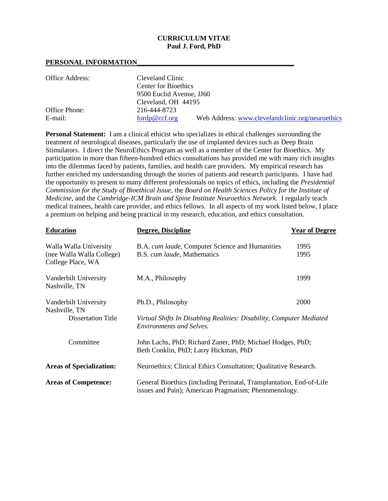#### **CURRICULUM VITAE Paul J. Ford, PhD**

#### **PERSONAL INFORMATION\_\_\_\_\_\_\_\_\_\_\_\_\_\_\_\_\_\_\_\_\_\_\_\_\_\_\_\_\_\_\_\_\_\_\_\_\_\_\_\_\_\_\_\_\_**

| Office Address: | Cleveland Clinic                                                  |  |  |
|-----------------|-------------------------------------------------------------------|--|--|
|                 | <b>Center for Bioethics</b>                                       |  |  |
|                 | 9500 Euclid Avenue, JJ60                                          |  |  |
|                 | Cleveland, OH 44195                                               |  |  |
| Office Phone:   | 216-444-8723                                                      |  |  |
| E-mail:         | Web Address: www.clevelandclinic.org/neuroethics<br>fordp@ccf.org |  |  |

**Personal Statement:** I am a clinical ethicist who specializes in ethical challenges surrounding the treatment of neurological diseases, particularly the use of implanted devices such as Deep Brain Stimulators. I direct the NeuroEthics Program as well as a member of the Center for Bioethics. My participation in more than fifteen-hundred ethics consultations has provided me with many rich insights into the dilemmas faced by patients, families, and health care providers. My empirical research has further enriched my understanding through the stories of patients and research participants. I have had the opportunity to present to many different professionals on topics of ethics, including the *Presidential Commission for the Study of Bioethical Issue*, the *Board on Health Sciences Policy for the Institute of Medicine*, and the *Cambridge-ICM Brain and Spine Institute Neuroethics Network*. I regularly teach medical trainees, health care provider, and ethics fellows. In all aspects of my work listed below, I place a premium on helping and being practical in my research, education, and ethics consultation.

| <b>Education</b>                               | Degree, Discipline                                                                                                            | <b>Year of Degree</b> |  |
|------------------------------------------------|-------------------------------------------------------------------------------------------------------------------------------|-----------------------|--|
| Walla Walla University                         | B.A. cum laude, Computer Science and Humanities                                                                               | 1995                  |  |
| (nee Walla Walla College)<br>College Place, WA | B.S. cum laude, Mathematics                                                                                                   | 1995                  |  |
| Vanderbilt University<br>Nashville, TN         | M.A., Philosophy                                                                                                              | 1999                  |  |
| Vanderbilt University<br>Nashville, TN         | Ph.D., Philosophy                                                                                                             | 2000                  |  |
| <b>Dissertation Title</b>                      | Virtual Shifts In Disabling Realities: Disability, Computer Mediated<br>Environments and Selves.                              |                       |  |
| Committee                                      | John Lachs, PhD; Richard Zaner, PhD; Michael Hodges, PhD;<br>Beth Conklin, PhD; Larry Hickman, PhD                            |                       |  |
| <b>Areas of Specialization:</b>                | Neuroethics; Clinical Ethics Consultation; Qualitative Research.                                                              |                       |  |
| <b>Areas of Competence:</b>                    | General Bioethics (including Perinatal, Transplantation, End-of-Life<br>issues and Pain); American Pragmatism; Phenomenology. |                       |  |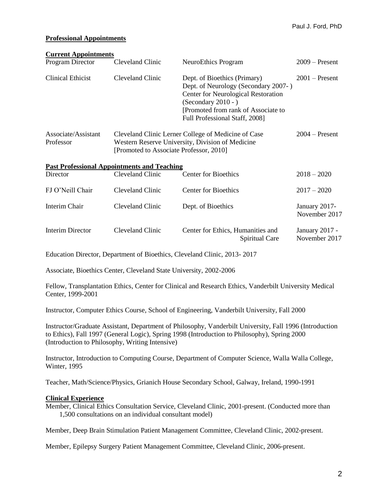# **Professional Appointments**

| <b>Current Appointments</b>      |                                                    |                                                                                                                                                                                                                      |                                 |
|----------------------------------|----------------------------------------------------|----------------------------------------------------------------------------------------------------------------------------------------------------------------------------------------------------------------------|---------------------------------|
| Program Director                 | Cleveland Clinic                                   | NeuroEthics Program                                                                                                                                                                                                  | $2009 -$ Present                |
| <b>Clinical Ethicist</b>         | Cleveland Clinic                                   | Dept. of Bioethics (Primary)<br>Dept. of Neurology (Secondary 2007-)<br><b>Center for Neurological Restoration</b><br>(Secondary $2010 -$ )<br>[Promoted from rank of Associate to<br>Full Professional Staff, 2008] | $2001$ – Present                |
| Associate/Assistant<br>Professor | [Promoted to Associate Professor, 2010]            | Cleveland Clinic Lerner College of Medicine of Case<br>Western Reserve University, Division of Medicine                                                                                                              | $2004 -$ Present                |
|                                  | <b>Past Professional Appointments and Teaching</b> |                                                                                                                                                                                                                      |                                 |
| Director                         | Cleveland Clinic                                   | <b>Center for Bioethics</b>                                                                                                                                                                                          | $2018 - 2020$                   |
| FJ O'Neill Chair                 | Cleveland Clinic                                   | <b>Center for Bioethics</b>                                                                                                                                                                                          | $2017 - 2020$                   |
| <b>Interim Chair</b>             | Cleveland Clinic                                   | Dept. of Bioethics                                                                                                                                                                                                   | January 2017-<br>November 2017  |
| <b>Interim Director</b>          | Cleveland Clinic                                   | Center for Ethics, Humanities and<br>Spiritual Care                                                                                                                                                                  | January 2017 -<br>November 2017 |
|                                  |                                                    | Education Director, Department of Bioethics, Cleveland Clinic, 2013-2017                                                                                                                                             |                                 |

Associate, Bioethics Center, Cleveland State University, 2002-2006

Fellow, Transplantation Ethics, Center for Clinical and Research Ethics, Vanderbilt University Medical Center, 1999-2001

Instructor, Computer Ethics Course, School of Engineering, Vanderbilt University, Fall 2000

Instructor/Graduate Assistant, Department of Philosophy, Vanderbilt University, Fall 1996 (Introduction to Ethics), Fall 1997 (General Logic), Spring 1998 (Introduction to Philosophy), Spring 2000 (Introduction to Philosophy, Writing Intensive)

Instructor, Introduction to Computing Course, Department of Computer Science, Walla Walla College, Winter, 1995

Teacher, Math/Science/Physics, Grianich House Secondary School, Galway, Ireland, 1990-1991

#### **Clinical Experience**

Member, Clinical Ethics Consultation Service, Cleveland Clinic, 2001-present. (Conducted more than 1,500 consultations on an individual consultant model)

Member, Deep Brain Stimulation Patient Management Committee, Cleveland Clinic, 2002-present.

Member, Epilepsy Surgery Patient Management Committee, Cleveland Clinic, 2006-present.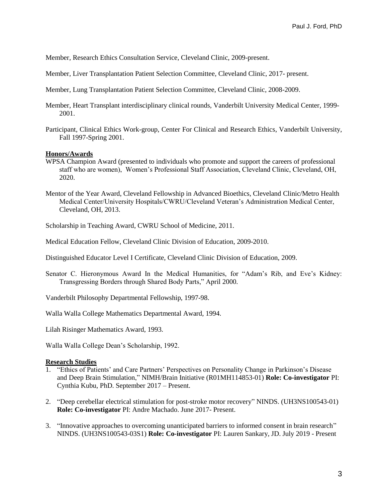Member, Research Ethics Consultation Service, Cleveland Clinic, 2009-present.

- Member, Liver Transplantation Patient Selection Committee, Cleveland Clinic, 2017- present.
- Member, Lung Transplantation Patient Selection Committee, Cleveland Clinic, 2008-2009.
- Member, Heart Transplant interdisciplinary clinical rounds, Vanderbilt University Medical Center, 1999- 2001.
- Participant, Clinical Ethics Work-group, Center For Clinical and Research Ethics, Vanderbilt University, Fall 1997-Spring 2001.

#### **Honors/Awards**

- WPSA Champion Award (presented to individuals who promote and support the careers of professional staff who are women), Women's Professional Staff Association, Cleveland Clinic, Cleveland, OH, 2020.
- Mentor of the Year Award, Cleveland Fellowship in Advanced Bioethics, Cleveland Clinic/Metro Health Medical Center/University Hospitals/CWRU/Cleveland Veteran's Administration Medical Center, Cleveland, OH, 2013.

Scholarship in Teaching Award, CWRU School of Medicine, 2011.

Medical Education Fellow, Cleveland Clinic Division of Education, 2009-2010.

Distinguished Educator Level I Certificate, Cleveland Clinic Division of Education, 2009.

Senator C. Hieronymous Award In the Medical Humanities, for "Adam's Rib, and Eve's Kidney: Transgressing Borders through Shared Body Parts," April 2000.

Vanderbilt Philosophy Departmental Fellowship, 1997-98.

Walla Walla College Mathematics Departmental Award, 1994.

Lilah Risinger Mathematics Award, 1993.

Walla Walla College Dean's Scholarship, 1992.

#### **Research Studies**

- 1. "Ethics of Patients' and Care Partners' Perspectives on Personality Change in Parkinson's Disease and Deep Brain Stimulation," NIMH/Brain Initiative (R01MH114853-01) **Role: Co-investigator** PI: Cynthia Kubu, PhD. September 2017 – Present.
- 2. "Deep cerebellar electrical stimulation for post-stroke motor recovery" NINDS. (UH3NS100543-01) **Role: Co-investigator** PI: Andre Machado. June 2017- Present.
- 3. "Innovative approaches to overcoming unanticipated barriers to informed consent in brain research" NINDS. (UH3NS100543-03S1) **Role: Co-investigator** PI: Lauren Sankary, JD. July 2019 - Present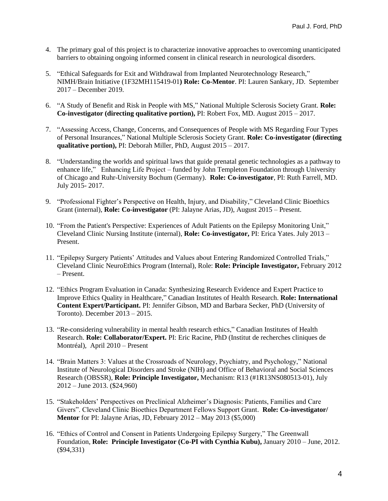- 4. The primary goal of this project is to characterize innovative approaches to overcoming unanticipated barriers to obtaining ongoing informed consent in clinical research in neurological disorders.
- 5. "Ethical Safeguards for Exit and Withdrawal from Implanted Neurotechnology Research," NIMH/Brain Initiative (1F32MH115419-01**) Role: Co-Mentor**. PI: Lauren Sankary, JD. September 2017 – December 2019.
- 6. "A Study of Benefit and Risk in People with MS," National Multiple Sclerosis Society Grant. **Role: Co-investigator (directing qualitative portion),** PI: Robert Fox, MD. August 2015 – 2017.
- 7. "Assessing Access, Change, Concerns, and Consequences of People with MS Regarding Four Types of Personal Insurances," National Multiple Sclerosis Society Grant. **Role: Co-investigator (directing qualitative portion),** PI: Deborah Miller, PhD, August 2015 – 2017.
- 8. "Understanding the worlds and spiritual laws that guide prenatal genetic technologies as a pathway to enhance life," Enhancing Life Project – funded by John Templeton Foundation through University of Chicago and Ruhr-University Bochum (Germany). **Role: Co-investigator**, PI: Ruth Farrell, MD. July 2015- 2017.
- 9. "Professional Fighter's Perspective on Health, Injury, and Disability," Cleveland Clinic Bioethics Grant (internal), **Role: Co-investigator** (PI: Jalayne Arias, JD), August 2015 – Present.
- 10. "From the Patient's Perspective: Experiences of Adult Patients on the Epilepsy Monitoring Unit," Cleveland Clinic Nursing Institute (internal), **Role: Co-investigator,** PI: Erica Yates. July 2013 – Present.
- 11. "Epilepsy Surgery Patients' Attitudes and Values about Entering Randomized Controlled Trials," Cleveland Clinic NeuroEthics Program (Internal), Role: **Role: Principle Investigator,** February 2012 – Present.
- 12. "Ethics Program Evaluation in Canada: Synthesizing Research Evidence and Expert Practice to Improve Ethics Quality in Healthcare," Canadian Institutes of Health Research. **Role: International Content Expert/Participant.** PI: Jennifer Gibson, MD and Barbara Secker, PhD (University of Toronto). December 2013 – 2015.
- 13. "Re-considering vulnerability in mental health research ethics," Canadian Institutes of Health Research. **Role: Collaborator/Expert.** PI: Eric Racine, PhD (Institut de recherches cliniques de Montréal), April 2010 – Present
- 14. "Brain Matters 3: Values at the Crossroads of Neurology, Psychiatry, and Psychology," National Institute of Neurological Disorders and Stroke (NIH) and Office of Behavioral and Social Sciences Research (OBSSR), **Role: Principle Investigator,** Mechanism: R13 (#1R13NS080513-01), July 2012 – June 2013. (\$24,960)
- 15. "Stakeholders' Perspectives on Preclinical Alzheimer's Diagnosis: Patients, Families and Care Givers". Cleveland Clinic Bioethics Department Fellows Support Grant. **Role: Co-investigator/ Mentor** for PI: Jalayne Arias, JD, February 2012 – May 2013 (\$5,000)
- 16. "Ethics of Control and Consent in Patients Undergoing Epilepsy Surgery," The Greenwall Foundation, **Role: Principle Investigator (Co-PI with Cynthia Kubu),** January 2010 – June, 2012. (\$94,331)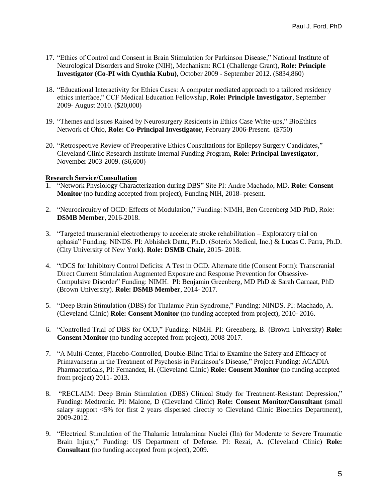- 17. "Ethics of Control and Consent in Brain Stimulation for Parkinson Disease," National Institute of Neurological Disorders and Stroke (NIH), Mechanism: RC1 (Challenge Grant), **Role: Principle Investigator (Co-PI with Cynthia Kubu)**, October 2009 - September 2012. (\$834,860)
- 18. "Educational Interactivity for Ethics Cases: A computer mediated approach to a tailored residency ethics interface," CCF Medical Education Fellowship, **Role: Principle Investigator**, September 2009- August 2010. (\$20,000)
- 19. "Themes and Issues Raised by Neurosurgery Residents in Ethics Case Write-ups," BioEthics Network of Ohio, **Role: Co-Principal Investigator**, February 2006-Present. (\$750)
- 20. "Retrospective Review of Preoperative Ethics Consultations for Epilepsy Surgery Candidates," Cleveland Clinic Research Institute Internal Funding Program, **Role: Principal Investigator**, November 2003-2009. (\$6,600)

## **Research Service/Consultation**

- 1. "Network Physiology Characterization during DBS" Site PI: Andre Machado, MD. **Role: Consent Monitor** (no funding accepted from project), Funding NIH, 2018- present.
- 2. "Neurocircuitry of OCD: Effects of Modulation," Funding: NIMH, Ben Greenberg MD PhD, Role: **DSMB Member**, 2016-2018.
- 3. "Targeted transcranial electrotherapy to accelerate stroke rehabilitation Exploratory trial on aphasia" Funding: NINDS. PI: Abhishek Datta, Ph.D. (Soterix Medical, Inc.) & Lucas C. Parra, Ph.D. (City University of New York). **Role: DSMB Chair,** 2015- 2018.
- 4. "tDCS for Inhibitory Control Deficits: A Test in OCD. Alternate title (Consent Form): Transcranial Direct Current Stimulation Augmented Exposure and Response Prevention for Obsessive-Compulsive Disorder" Funding: NIMH. PI: Benjamin Greenberg, MD PhD & Sarah Garnaat, PhD (Brown University). **Role: DSMB Member**, 2014- 2017.
- 5. "Deep Brain Stimulation (DBS) for Thalamic Pain Syndrome," Funding: NINDS. PI: Machado, A. (Cleveland Clinic) **Role: Consent Monitor** (no funding accepted from project), 2010- 2016.
- 6. "Controlled Trial of DBS for OCD," Funding: NIMH. PI: Greenberg, B. (Brown University) **Role: Consent Monitor** (no funding accepted from project), 2008-2017.
- 7. "A Multi-Center, Placebo-Controlled, Double-Blind Trial to Examine the Safety and Efficacy of Primavanserin in the Treatment of Psychosis in Parkinson's Disease," Project Funding: ACADIA Pharmaceuticals, PI: Fernandez, H. (Cleveland Clinic) **Role: Consent Monitor** (no funding accepted from project) 2011- 2013.
- 8. "RECLAIM: Deep Brain Stimulation (DBS) Clinical Study for Treatment-Resistant Depression," Funding: Medtronic. PI: Malone, D (Cleveland Clinic) **Role: Consent Monitor/Consultant** (small salary support <5% for first 2 years dispersed directly to Cleveland Clinic Bioethics Department), 2009-2012.
- 9. "Electrical Stimulation of the Thalamic Intralaminar Nuclei (Iln) for Moderate to Severe Traumatic Brain Injury," Funding: US Department of Defense. PI: Rezai, A. (Cleveland Clinic) **Role: Consultant** (no funding accepted from project), 2009.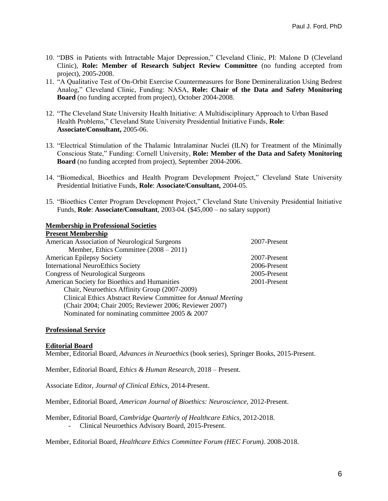- 10. "DBS in Patients with Intractable Major Depression," Cleveland Clinic, PI: Malone D (Cleveland Clinic), **Role: Member of Research Subject Review Committee** (no funding accepted from project), 2005-2008.
- 11. "A Qualitative Test of On-Orbit Exercise Countermeasures for Bone Demineralization Using Bedrest Analog," Cleveland Clinic, Funding: NASA, **Role: Chair of the Data and Safety Monitoring Board** (no funding accepted from project), October 2004-2008.
- 12. "The Cleveland State University Health Initiative: A Multidisciplinary Approach to Urban Based Health Problems," Cleveland State University Presidential Initiative Funds, **Role**: **Associate/Consultant,** 2005-06.
- 13. "Electrical Stimulation of the Thalamic Intralaminar Nuclei (ILN) for Treatment of the Minimally Conscious State," Funding: Cornell University, **Role: Member of the Data and Safety Monitoring Board** (no funding accepted from project), September 2004-2006.
- 14. "Biomedical, Bioethics and Health Program Development Project," Cleveland State University Presidential Initiative Funds, **Role**: **Associate/Consultant,** 2004-05.
- 15. "Bioethics Center Program Development Project," Cleveland State University Presidential Initiative Funds, **Role**: **Associate/Consultant**, 2003-04. (\$45,000 – no salary support)

## **Membership in Professional Societies**

## **Present Membership**

| American Association of Neurological Surgeons                | 2007-Present |
|--------------------------------------------------------------|--------------|
| Member, Ethics Committee $(2008 – 2011)$                     |              |
| <b>American Epilepsy Society</b>                             | 2007-Present |
| <b>International NeuroEthics Society</b>                     | 2006-Present |
| <b>Congress of Neurological Surgeons</b>                     | 2005-Present |
| American Society for Bioethics and Humanities                | 2001-Present |
| Chair, Neuroethics Affinity Group (2007-2009)                |              |
| Clinical Ethics Abstract Review Committee for Annual Meeting |              |
| (Chair 2004; Chair 2005; Reviewer 2006; Reviewer 2007)       |              |
| Nominated for nominating committee 2005 & 2007               |              |
|                                                              |              |

#### **Professional Service**

#### **Editorial Board**

Member, Editorial Board, *Advances in Neuroethics* (book series), Springer Books, 2015-Present.

Member, Editorial Board, *Ethics & Human Research*, 2018 – Present.

Associate Editor, *Journal of Clinical Ethics*, 2014-Present.

Member, Editorial Board, *American Journal of Bioethics: Neuroscience,* 2012-Present.

Member, Editorial Board, *Cambridge Quarterly of Healthcare Ethics,* 2012-2018. - Clinical Neuroethics Advisory Board, 2015-Present.

Member, Editorial Board, *Healthcare Ethics Committee Forum (HEC Forum).* 2008-2018.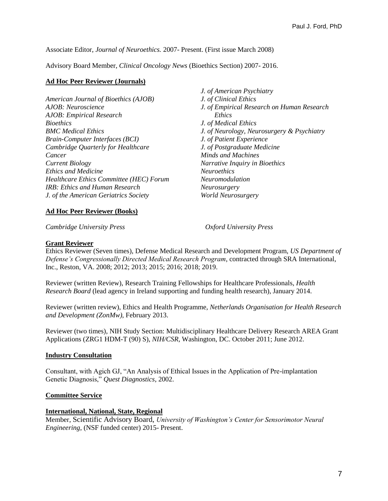Associate Editor, *Journal of Neuroethics.* 2007- Present. (First issue March 2008)

Advisory Board Member, *Clinical Oncology News* (Bioethics Section) 2007- 2016.

## **Ad Hoc Peer Reviewer (Journals)**

*American Journal of Bioethics (AJOB) AJOB: Neuroscience AJOB: Empirical Research Bioethics BMC Medical Ethics Brain-Computer Interfaces (BCI) Cambridge Quarterly for Healthcare Cancer Current Biology Ethics and Medicine Healthcare Ethics Committee (HEC) Forum IRB: Ethics and Human Research J. of the American Geriatrics Society*

*J. of American Psychiatry J. of Clinical Ethics J. of Empirical Research on Human Research Ethics J. of Medical Ethics J. of Neurology, Neurosurgery & Psychiatry J. of Patient Experience J. of Postgraduate Medicine Minds and Machines Narrative Inquiry in Bioethics Neuroethics Neuromodulation Neurosurgery World Neurosurgery* 

# **Ad Hoc Peer Reviewer (Books)**

*Cambridge University Press Oxford University Press*

# **Grant Reviewer**

Ethics Reviewer (Seven times), Defense Medical Research and Development Program, *US Department of Defense's Congressionally Directed Medical Research Program*, contracted through SRA International, Inc., Reston, VA. 2008; 2012; 2013; 2015; 2016; 2018; 2019.

Reviewer (written Review), Research Training Fellowships for Healthcare Professionals, *Health Research Board* (lead agency in Ireland supporting and funding health research), January 2014.

Reviewer (written review), Ethics and Health Programme, *Netherlands Organisation for Health Research and Development (ZonMw)*, February 2013.

Reviewer (two times), NIH Study Section: Multidisciplinary Healthcare Delivery Research AREA Grant Applications (ZRG1 HDM-T (90) S), *NIH/CSR*, Washington, DC. October 2011; June 2012.

## **Industry Consultation**

Consultant, with Agich GJ, "An Analysis of Ethical Issues in the Application of Pre-implantation Genetic Diagnosis," *Quest Diagnostics*, 2002.

## **Committee Service**

## **International, National, State, Regional**

Member, Scientific Advisory Board, *University of Washington's Center for Sensorimotor Neural Engineering*, (NSF funded center) 2015- Present.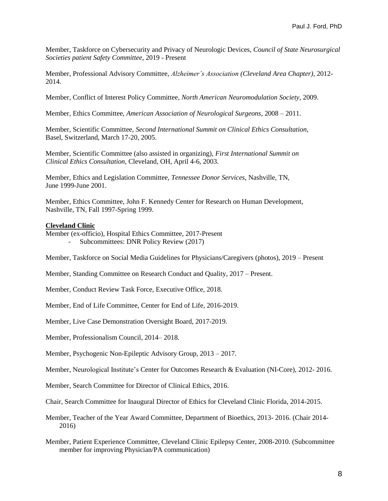Member, Taskforce on Cybersecurity and Privacy of Neurologic Devices*, Council of State Neurosurgical Societies patient Safety Committee*, 2019 - Present

Member, Professional Advisory Committee, *Alzheimer's Association (Cleveland Area Chapter)*, 2012- 2014.

Member, Conflict of Interest Policy Committee, *North American Neuromodulation Society*, 2009.

Member, Ethics Committee, *American Association of Neurological Surgeons*, 2008 – 2011.

Member, Scientific Committee, *Second International Summit on Clinical Ethics Consultation*, Basel, Switzerland, March 17-20, 2005.

Member, Scientific Committee (also assisted in organizing), *First International Summit on Clinical Ethics Consultation*, Cleveland, OH, April 4-6, 2003.

Member, Ethics and Legislation Committee, *Tennessee Donor Services*, Nashville, TN, June 1999-June 2001.

Member, Ethics Committee, John F. Kennedy Center for Research on Human Development, Nashville, TN, Fall 1997-Spring 1999.

#### **Cleveland Clinic**

Member (ex-officio), Hospital Ethics Committee, 2017-Present - Subcommittees: DNR Policy Review (2017)

Member, Taskforce on Social Media Guidelines for Physicians/Caregivers (photos), 2019 – Present

Member, Standing Committee on Research Conduct and Quality, 2017 – Present.

Member, Conduct Review Task Force, Executive Office, 2018.

Member, End of Life Committee, Center for End of Life, 2016-2019.

Member, Live Case Demonstration Oversight Board, 2017-2019.

Member, Professionalism Council, 2014– 2018.

Member, Psychogenic Non-Epileptic Advisory Group, 2013 – 2017.

Member, Neurological Institute's Center for Outcomes Research & Evaluation (NI-Core), 2012- 2016.

Member, Search Committee for Director of Clinical Ethics, 2016.

Chair, Search Committee for Inaugural Director of Ethics for Cleveland Clinic Florida, 2014-2015.

Member, Teacher of the Year Award Committee, Department of Bioethics, 2013- 2016. (Chair 2014- 2016)

Member, Patient Experience Committee, Cleveland Clinic Epilepsy Center, 2008-2010. (Subcommittee member for improving Physician/PA communication)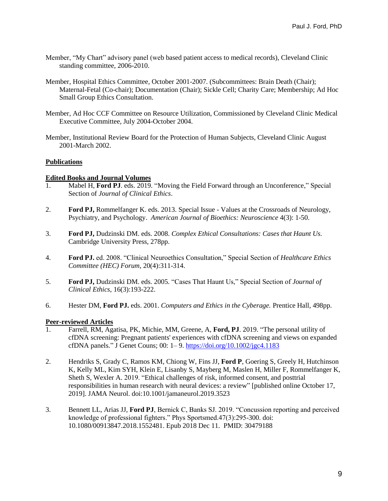- Member, "My Chart" advisory panel (web based patient access to medical records), Cleveland Clinic standing committee, 2006-2010.
- Member, Hospital Ethics Committee, October 2001-2007. (Subcommittees: Brain Death (Chair); Maternal-Fetal (Co-chair); Documentation (Chair); Sickle Cell; Charity Care; Membership; Ad Hoc Small Group Ethics Consultation.
- Member, Ad Hoc CCF Committee on Resource Utilization, Commissioned by Cleveland Clinic Medical Executive Committee, July 2004-October 2004.
- Member, Institutional Review Board for the Protection of Human Subjects, Cleveland Clinic August 2001-March 2002.

## **Publications**

#### **Edited Books and Journal Volumes**

- 1. Mabel H, **Ford PJ**. eds. 2019. "Moving the Field Forward through an Unconference," Special Section of *Journal of Clinical Ethics*.
- 2. **Ford PJ,** Rommelfanger K. eds. 2013. Special Issue Values at the Crossroads of Neurology, Psychiatry, and Psychology. *American Journal of Bioethics: Neuroscience* 4(3): 1-50.
- 3. **Ford PJ,** Dudzinski DM. eds. 2008. *Complex Ethical Consultations: Cases that Haunt Us.* Cambridge University Press, 278pp.
- 4. **Ford PJ.** ed. 2008. "Clinical Neuroethics Consultation," Special Section of *Healthcare Ethics Committee (HEC) Forum*, 20(4):311-314.
- 5. **Ford PJ,** Dudzinski DM. eds. 2005. "Cases That Haunt Us," Special Section of *Journal of Clinical Ethics*, 16(3):193-222.
- 6. Hester DM, **Ford PJ.** eds. 2001. *Computers and Ethics in the Cyberage.* Prentice Hall, 498pp.

## **Peer-reviewed Articles**

- 1. Farrell, RM, Agatisa, PK, Michie, MM, Greene, A, **Ford, PJ**. 2019. "The personal utility of cfDNA screening: Pregnant patients' experiences with cfDNA screening and views on expanded cfDNA panels." J Genet Couns; 00: 1– 9.<https://doi.org/10.1002/jgc4.1183>
- 2. Hendriks S, Grady C, Ramos KM, Chiong W, Fins JJ, **Ford P**, Goering S, Greely H, Hutchinson K, Kelly ML, Kim SYH, Klein E, Lisanby S, Mayberg M, Maslen H, Miller F, Rommelfanger K, Sheth S, Wexler A. 2019. "Ethical challenges of risk, informed consent, and posttrial responsibilities in human research with neural devices: a review" [published online October 17, 2019]. JAMA Neurol. doi:10.1001/jamaneurol.2019.3523
- 3. Bennett LL, Arias JJ, **Ford PJ**, Bernick C, Banks SJ. 2019. "Concussion reporting and perceived knowledge of professional fighters." Phys Sportsmed.47(3):295-300. doi: 10.1080/00913847.2018.1552481. Epub 2018 Dec 11. PMID: 30479188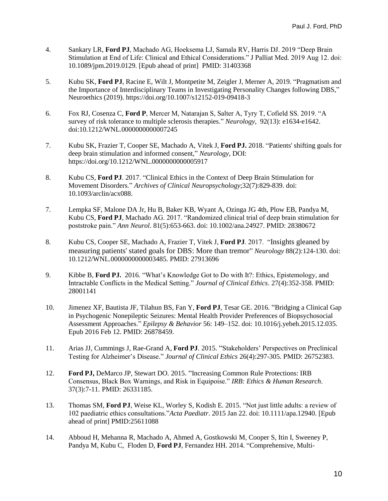- 4. Sankary LR, **Ford PJ**, Machado AG, Hoeksema LJ, Samala RV, Harris DJ. 2019 "Deep Brain Stimulation at End of Life: Clinical and Ethical Considerations." J Palliat Med. 2019 Aug 12. doi: 10.1089/jpm.2019.0129. [Epub ahead of print] PMID: 31403368
- 5. Kubu SK, **Ford PJ**, Racine E, Wilt J, Montpetite M, Zeigler J, Merner A, 2019. "Pragmatism and the Importance of Interdisciplinary Teams in Investigating Personality Changes following DBS," Neuroethics (2019). https://doi.org/10.1007/s12152-019-09418-3
- 6. Fox RJ, Cosenza C, **Ford P**, Mercer M, Natarajan S, Salter A, Tyry T, Cofield SS. 2019. "A survey of risk tolerance to multiple sclerosis therapies." *Neurology*, 92(13): e1634-e1642. doi:10.1212/WNL.0000000000007245
- 7. Kubu SK, Frazier T, Cooper SE, Machado A, Vitek J, **Ford PJ.** 2018. "Patients' shifting goals for deep brain stimulation and informed consent," *Neurology*, DOI: https://doi.org/10.1212/WNL.0000000000005917
- 8. Kubu CS, **Ford PJ**. 2017. "Clinical Ethics in the Context of Deep Brain Stimulation for Movement Disorders." *Archives of Clinical Neuropsychology*;32(7):829-839. doi: 10.1093/arclin/acx088.
- 7. Lempka SF, Malone DA Jr, Hu B, Baker KB, Wyant A, Ozinga JG 4th, Plow EB, Pandya M, Kubu CS, **Ford PJ**, Machado AG. 2017. "Randomized clinical trial of deep brain stimulation for poststroke pain." *Ann Neurol*. 81(5):653-663. doi: 10.1002/ana.24927. PMID: 28380672
- 8. Kubu CS, Cooper SE, Machado A, Frazier T, Vitek J, **Ford PJ**. 2017. "Insights gleaned by measuring patients' stated goals for DBS: More than tremor" *Neurology* 88(2):124-130. doi: 10.1212/WNL.0000000000003485. PMID: 27913696
- 9. Kibbe B, **Ford PJ.** 2016. "What's Knowledge Got to Do with It?: Ethics, Epistemology, and Intractable Conflicts in the Medical Setting." *Journal of Clinical Ethics*. 27(4):352-358. PMID: 28001141
- 10. Jimenez XF, Bautista JF, Tilahun BS, Fan Y, **Ford PJ**, Tesar GE. 2016. "Bridging a Clinical Gap in Psychogenic Nonepileptic Seizures: Mental Health Provider Preferences of Biopsychosocial Assessment Approaches." *Epilepsy & Behavior* 56: 149–152. doi: 10.1016/j.yebeh.2015.12.035. Epub 2016 Feb 12. PMID: 26878459.
- 11. Arias JJ, Cummings J, Rae-Grand A, **Ford PJ**. 2015. "Stakeholders' Perspectives on Preclinical Testing for Alzheimer's Disease." *Journal of Clinical Ethics* 26(4):297-305. PMID: 26752383.
- 12. **Ford PJ,** DeMarco JP, Stewart DO. 2015. "Increasing Common Rule Protections: IRB Consensus, Black Box Warnings, and Risk in Equipoise." *IRB: Ethics & Human Research*. 37(3):7-11. PMID: 26331185.
- 13. Thomas SM, **Ford PJ**, Weise KL, Worley S, Kodish E. 2015. "Not just little adults: a review of 102 paediatric ethics consultations."*Acta Paediatr*. 2015 Jan 22. doi: 10.1111/apa.12940. [Epub ahead of print] PMID:25611088
- 14. Abboud H, Mehanna R, Machado A, Ahmed A, Gostkowski M, Cooper S, Itin I, Sweeney P, Pandya M, Kubu C, Floden D, **Ford PJ**, Fernandez HH. 2014. "Comprehensive, Multi-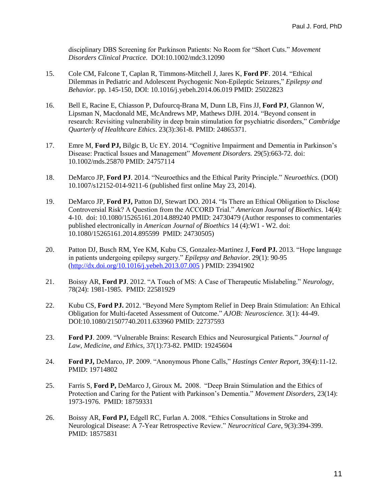disciplinary DBS Screening for Parkinson Patients: No Room for "Short Cuts." *Movement Disorders Clinical Practice*. DOI:10.1002/mdc3.12090

- 15. Cole CM, Falcone T, Caplan R, Timmons-Mitchell J, Jares K, **Ford PF**. 2014. "Ethical Dilemmas in Pediatric and Adolescent Psychogenic Non-Epileptic Seizures," *Epilepsy and Behavior*. pp. 145-150, DOI: 10.1016/j.yebeh.2014.06.019 PMID: 25022823
- 16. Bell E, Racine E, Chiasson P, Dufourcq-Brana M, Dunn LB, Fins JJ, **Ford PJ**, Glannon W, Lipsman N, Macdonald ME, McAndrews MP, Mathews DJH. 2014. "Beyond consent in research: Revisiting vulnerability in deep brain stimulation for psychiatric disorders," *Cambridge Quarterly of Healthcare Ethics*. 23(3):361-8. PMID: 24865371.
- 17. Emre M, **Ford PJ,** Bilgic B, Uc EY. 2014. "Cognitive Impairment and Dementia in Parkinson's Disease: Practical Issues and Management" *Movement Disorders.* 29(5):663-72. doi: 10.1002/mds.25870 PMID: 24757114
- 18. DeMarco JP, **Ford PJ**. 2014. "Neuroethics and the Ethical Parity Principle." *Neuroethics.* (DOI) 10.1007/s12152-014-9211-6 (published first online May 23, 2014).
- 19. DeMarco JP, **Ford PJ,** Patton DJ, Stewart DO. 2014. "Is There an Ethical Obligation to Disclose Controversial Risk? A Question from the ACCORD Trial." *American Journal of Bioethics*. 14(4): 4-10. doi: 10.1080/15265161.2014.889240 PMID: 24730479 (Author responses to commentaries published electronically in *American Journal of Bioethics* 14 (4):W1 - W2. doi: 10.1080/15265161.2014.895599 PMID: 24730505)
- 20. Patton DJ, Busch RM, Yee KM, Kubu CS, Gonzalez-Martinez J, **Ford PJ.** 2013. "Hope language in patients undergoing epilepsy surgery." *Epilepsy and Behavior*. 29(1): 90-95 [\(http://dx.doi.org/10.1016/j.yebeh.2013.07.005](http://dx.doi.org/10.1016/j.yebeh.2013.07.005) ) PMID: 23941902
- 21. Boissy AR, **Ford PJ**. 2012. "A Touch of MS: A Case of Therapeutic Mislabeling." *Neurology*, 78(24): 1981-1985. PMID: 22581929
- 22. Kubu CS, **Ford PJ.** 2012. "Beyond Mere Symptom Relief in Deep Brain Stimulation: An Ethical Obligation for Multi-faceted Assessment of Outcome." *AJOB: Neuroscience.* 3(1): 44-49. DOI:10.1080/21507740.2011.633960 PMID: 22737593
- 23. **Ford PJ**. 2009. "Vulnerable Brains: Research Ethics and Neurosurgical Patients." *Journal of Law, Medicine, and Ethics,* 37(1):73-82. PMID: 19245604
- 24. **Ford PJ,** DeMarco, JP. 2009. "Anonymous Phone Calls," *Hastings Center Report*, 39(4):11-12. PMID: 19714802
- 25. Farris S, **Ford P,** DeMarco J, Giroux M**.** 2008. "Deep Brain Stimulation and the Ethics of Protection and Caring for the Patient with Parkinson's Dementia." *Movement Disorders,* 23(14): 1973-1976. PMID: 18759331
- 26. Boissy AR, **Ford PJ,** Edgell RC, Furlan A. 2008. "Ethics Consultations in Stroke and Neurological Disease: A 7-Year Retrospective Review." *Neurocritical Care*, 9(3):394-399. PMID: 18575831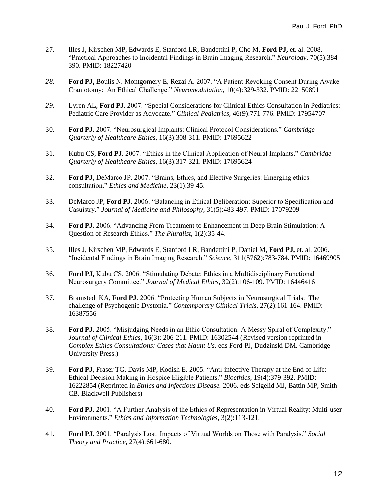- 27. Illes J, Kirschen MP, Edwards E, Stanford LR, Bandettini P, Cho M, **Ford PJ,** et. al. 2008. "Practical Approaches to Incidental Findings in Brain Imaging Research." *Neurology,* 70(5):384- 390. PMID: 18227420
- *28.* **Ford PJ,** Boulis N, Montgomery E, Rezai A. 2007. "A Patient Revoking Consent During Awake Craniotomy: An Ethical Challenge." *Neuromodulation,* 10(4):329-332. PMID: 22150891
- *29.* Lyren AL, **Ford PJ**. 2007. "Special Considerations for Clinical Ethics Consultation in Pediatrics: Pediatric Care Provider as Advocate." *Clinical Pediatrics,* 46(9):771-776. PMID: 17954707
- 30. **Ford PJ.** 2007. "Neurosurgical Implants: Clinical Protocol Considerations." *Cambridge Quarterly of Healthcare Ethics*, 16(3):308-311. PMID: 17695622
- 31. Kubu CS, **Ford PJ.** 2007. "Ethics in the Clinical Application of Neural Implants." *Cambridge Quarterly of Healthcare Ethics*, 16(3):317-321. PMID: 17695624
- 32. **Ford PJ**, DeMarco JP. 2007. "Brains, Ethics, and Elective Surgeries: Emerging ethics consultation." *Ethics and Medicine*, 23(1):39-45.
- 33. DeMarco JP, **Ford PJ**. 2006. "Balancing in Ethical Deliberation: Superior to Specification and Casuistry." *Journal of Medicine and Philosophy*, 31(5):483-497. PMID: 17079209
- 34. **Ford PJ.** 2006. "Advancing From Treatment to Enhancement in Deep Brain Stimulation: A Question of Research Ethics." *The Pluralist,* 1(2):35-44.
- 35. Illes J, Kirschen MP, Edwards E, Stanford LR, Bandettini P, Daniel M, **Ford PJ,** et. al. 2006. "Incidental Findings in Brain Imaging Research." *Science,* 311(5762):783-784. PMID: 16469905
- 36. **Ford PJ,** Kubu CS. 2006. "Stimulating Debate: Ethics in a Multidisciplinary Functional Neurosurgery Committee." *Journal of Medical Ethics,* 32(2):106-109. PMID: 16446416
- 37. Bramstedt KA, **Ford PJ**. 2006. "Protecting Human Subjects in Neurosurgical Trials: The challenge of Psychogenic Dystonia." *Contemporary Clinical Trials,* 27(2):161-164. PMID: 16387556
- 38. **Ford PJ.** 2005. "Misjudging Needs in an Ethic Consultation: A Messy Spiral of Complexity." *Journal of Clinical Ethics*, 16(3): 206-211. PMID: 16302544 (Revised version reprinted in *Complex Ethics Consultations: Cases that Haunt Us.* eds Ford PJ, Dudzinski DM. Cambridge University Press.)
- 39. **Ford PJ,** Fraser TG, Davis MP, Kodish E. 2005. "Anti-infective Therapy at the End of Life: Ethical Decision Making in Hospice Eligible Patients." *Bioethics*, 19(4):379-392. PMID: 16222854 (Reprinted in *Ethics and Infectious Disease.* 2006. eds Selgelid MJ, Battin MP, Smith CB. Blackwell Publishers)
- 40. **Ford PJ.** 2001. "A Further Analysis of the Ethics of Representation in Virtual Reality: Multi-user Environments." *Ethics and Information Technologies*, 3(2):113-121.
- 41. **Ford PJ.** 2001. "Paralysis Lost: Impacts of Virtual Worlds on Those with Paralysis." *Social Theory and Practice,* 27(4):661-680.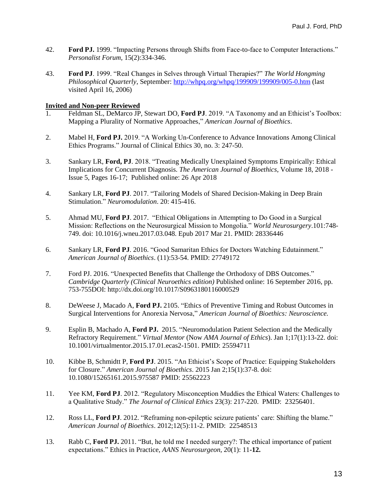- 42. **Ford PJ.** 1999. "Impacting Persons through Shifts from Face-to-face to Computer Interactions." *Personalist Forum,* 15(2):334-346.
- 43. **Ford PJ**. 1999. "Real Changes in Selves through Virtual Therapies?" *The World Hongming Philosophical Quarterly*, September: <http://whpq.org/whpq/199909/199909/005-0.htm> (last visited April 16, 2006)

# **Invited and Non-peer Reviewed**

- 1. Feldman SL, DeMarco JP, Stewart DO, **Ford PJ**. 2019. "A Taxonomy and an Ethicist's Toolbox: Mapping a Plurality of Normative Approaches," *American Journal of Bioethics*.
- 2. Mabel H, **Ford PJ.** 2019. "A Working Un-Conference to Advance Innovations Among Clinical Ethics Programs." Journal of Clinical Ethics 30, no. 3: 247-50.
- 3. Sankary LR, **Ford, PJ**. 2018. "Treating Medically Unexplained Symptoms Empirically: Ethical Implications for Concurrent Diagnosis. *The American Journal of Bioethics*, Volume 18, 2018 - Issue 5, Pages 16-17; Published online: 26 Apr 2018
- 4. Sankary LR, **Ford PJ**. 2017. "Tailoring Models of Shared Decision-Making in Deep Brain Stimulation." *Neuromodulation*. 20: 415-416.
- 5. Ahmad MU, **Ford PJ**. 2017. "Ethical Obligations in Attempting to Do Good in a Surgical Mission: Reflections on the Neurosurgical Mission to Mongolia." *World Neurosurgery*.101:748- 749. doi: 10.1016/j.wneu.2017.03.048. Epub 2017 Mar 21. PMID: 28336446
- 6. Sankary LR, **Ford PJ**. 2016. "Good Samaritan Ethics for Doctors Watching Edutainment." *American Journal of Bioethics*. (11):53-54. PMID: 27749172
- 7. Ford PJ. 2016. "Unexpected Benefits that Challenge the Orthodoxy of DBS Outcomes." *Cambridge Quarterly (Clinical Neuroethics edition)* Published online: 16 September 2016, pp. 753-755DOI: http://dx.doi.org/10.1017/S0963180116000529
- 8. DeWeese J, Macado A, **Ford PJ.** 2105. "Ethics of Preventive Timing and Robust Outcomes in Surgical Interventions for Anorexia Nervosa," *American Journal of Bioethics: Neuroscience.*
- 9. Esplin B, Machado A, **Ford PJ.** 2015. "Neuromodulation Patient Selection and the Medically Refractory Requirement." *Virtual Mentor* (Now *AMA Journal of Ethics*). Jan 1;17(1):13-22. doi: 10.1001/virtualmentor.2015.17.01.ecas2-1501. PMID: 25594711
- 10. Kibbe B, Schmidtt P, **Ford PJ**. 2015. "An Ethicist's Scope of Practice: Equipping Stakeholders for Closure." *American Journal of Bioethics*. 2015 Jan 2;15(1):37-8. doi: 10.1080/15265161.2015.975587 PMID: 25562223
- 11. Yee KM, **Ford PJ**. 2012. "Regulatory Misconception Muddies the Ethical Waters: Challenges to a Qualitative Study." *The Journal of Clinical Ethics* 23(3): 217-220. PMID: 23256401.
- 12. Ross LL, **Ford PJ**. 2012. "Reframing non-epileptic seizure patients' care: Shifting the blame." *American Journal of Bioethics*. 2012;12(5):11-2. PMID: 22548513
- 13. Rabb C, **Ford PJ.** 2011. "But, he told me I needed surgery?: The ethical importance of patient expectations." Ethics in Practice, *AANS Neurosurgeon*, 20(1): 11**-12.**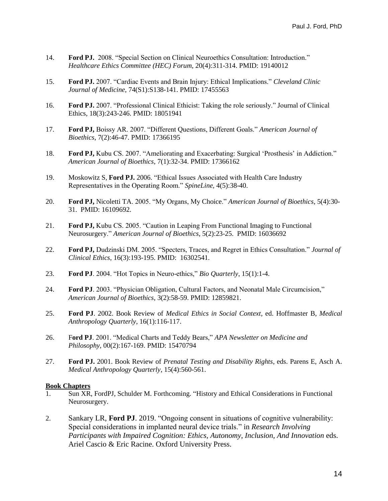- 14. **Ford PJ.** 2008. "Special Section on Clinical Neuroethics Consultation: Introduction." *Healthcare Ethics Committee (HEC) Forum*, 20(4):311-314. PMID: 19140012
- 15. **Ford PJ.** 2007. "Cardiac Events and Brain Injury: Ethical Implications." *Cleveland Clinic Journal of Medicine*, 74(S1):S138-141. PMID: 17455563
- 16. **Ford PJ.** 2007. "Professional Clinical Ethicist: Taking the role seriously." Journal of Clinical Ethics, 18(3):243-246. PMID: 18051941
- 17. **Ford PJ,** Boissy AR. 2007. "Different Questions, Different Goals." *American Journal of Bioethics*, 7(2):46-47. PMID: 17366195
- 18. **Ford PJ,** Kubu CS. 2007. "Ameliorating and Exacerbating: Surgical 'Prosthesis' in Addiction." *American Journal of Bioethics*, 7(1):32-34. PMID: 17366162
- 19. Moskowitz S, **Ford PJ.** 2006. "Ethical Issues Associated with Health Care Industry Representatives in the Operating Room." *SpineLine,* 4(5):38-40.
- 20. **Ford PJ,** Nicoletti TA. 2005. "My Organs, My Choice." *American Journal of Bioethics*, 5(4):30- 31. PMID: 16109692.
- 21. **Ford PJ,** Kubu CS. 2005. "Caution in Leaping From Functional Imaging to Functional Neurosurgery." *American Journal of Bioethics*, 5(2):23-25. PMID: 16036692
- 22. **Ford PJ,** Dudzinski DM. 2005. "Specters, Traces, and Regret in Ethics Consultation." *Journal of Clinical Ethics*, 16(3):193-195. PMID: 16302541.
- 23. **Ford PJ**. 2004. "Hot Topics in Neuro-ethics," *Bio Quarterly*, 15(1):1-4.
- 24. **Ford PJ**. 2003. "Physician Obligation, Cultural Factors, and Neonatal Male Circumcision," *American Journal of Bioethics*, 3(2):58-59. PMID: 12859821.
- 25. **Ford PJ**. 2002. Book Review of *Medical Ethics in Social Context*, ed. Hoffmaster B, *Medical Anthropology Quarterly*, 16(1):116-117.
- 26. F**ord PJ**. 2001. "Medical Charts and Teddy Bears," *APA Newsletter on Medicine and Philosophy,* 00(2):167-169. PMID: 15470794
- 27. **Ford PJ.** 2001. Book Review of *Prenatal Testing and Disability Rights*, eds. Parens E, Asch A. *Medical Anthropology Quarterly*, 15(4):560-561.

## **Book Chapters**

- 1. Sun XR, FordPJ, Schulder M. Forthcoming. "History and Ethical Considerations in Functional Neurosurgery.
- 2. Sankary LR, **Ford PJ**. 2019. "Ongoing consent in situations of cognitive vulnerability: Special considerations in implanted neural device trials." in *Research Involving Participants with Impaired Cognition: Ethics, Autonomy, Inclusion, And Innovation* eds. Ariel Cascio & Eric Racine. Oxford University Press.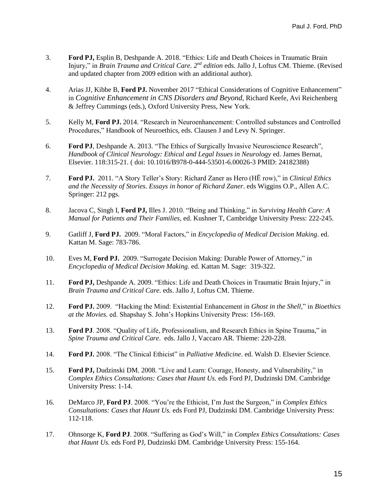- 3. **Ford PJ,** Esplin B, Deshpande A. 2018. "Ethics: Life and Death Choices in Traumatic Brain Injury," in *Brain Trauma and Critical Care. 2<sup>nd</sup> edition* eds. Jallo J, Loftus CM. Thieme. (Revised and updated chapter from 2009 edition with an additional author).
- 4. Arias JJ, Kibbe B, **Ford PJ.** November 2017 "Ethical Considerations of Cognitive Enhancement" in *Cognitive Enhancement in CNS Disorders and Beyond*, Richard Keefe, Avi Reichenberg & Jeffrey Cummings (eds.), Oxford University Press, New York.
- 5. Kelly M, **Ford PJ.** 2014. "Research in Neuroenhancement: Controlled substances and Controlled Procedures," Handbook of Neuroethics, eds. Clausen J and Levy N. Springer.
- 6. **Ford PJ**, Deshpande A. 2013. "The Ethics of Surgically Invasive Neuroscience Research", *Handbook of Clinical Neurology: Ethical and Legal Issues in Neurology* ed. James Bernat, Elsevier. 118:315-21. ( doi: 10.1016/B978-0-444-53501-6.00026-3 PMID: 24182388)
- 7. **Ford PJ.** 2011. "A Story Teller's Story: Richard Zaner as Hero (HĒ row)," in *Clinical Ethics and the Necessity of Stories*. *Essays in honor of Richard Zaner*. eds Wiggins O.P., Allen A.C. Springer: 212 pgs.
- 8. Jacova C, Singh I, **Ford PJ,** Illes J. 2010. "Being and Thinking," in *Surviving Health Care: A Manual for Patients and Their Families,* ed. Kushner T, Cambridge University Press: 222-245.
- 9. Gatliff J, **Ford PJ.** 2009. "Moral Factors," in *Encyclopedia of Medical Decision Making*. ed. Kattan M. Sage: 783-786.
- 10. Eves M, **Ford PJ.** 2009. "Surrogate Decision Making: Durable Power of Attorney," in *Encyclopedia of Medical Decision Making*. ed. Kattan M. Sage: 319-322.
- 11. **Ford PJ,** Deshpande A. 2009. "Ethics: Life and Death Choices in Traumatic Brain Injury," in *Brain Trauma and Critical Care.* eds. Jallo J, Loftus CM. Thieme.
- 12. **Ford PJ.** 2009. "Hacking the Mind: Existential Enhancement in *Ghost in the Shell,*" in *Bioethics at the Movies.* ed. Shapshay S. John's Hopkins University Press: 156-169.
- 13. **Ford PJ**. 2008. "Quality of Life, Professionalism, and Research Ethics in Spine Trauma," in *Spine Trauma and Critical Care*. eds. Jallo J, Vaccaro AR. Thieme: 220-228.
- 14. **Ford PJ.** 2008. "The Clinical Ethicist" in *Palliative Medicine*. ed. Walsh D. Elsevier Science.
- 15. **Ford PJ,** Dudzinski DM. 2008. "Live and Learn: Courage, Honesty, and Vulnerability," in *Complex Ethics Consultations: Cases that Haunt Us.* eds Ford PJ, Dudzinski DM. Cambridge University Press: 1-14.
- 16. DeMarco JP, **Ford PJ**. 2008. "You're the Ethicist, I'm Just the Surgeon," in *Complex Ethics Consultations: Cases that Haunt Us.* eds Ford PJ, Dudzinski DM. Cambridge University Press: 112-118.
- 17. Ohnsorge K, **Ford PJ**. 2008. "Suffering as God's Will," in *Complex Ethics Consultations: Cases that Haunt Us.* eds Ford PJ, Dudzinski DM. Cambridge University Press: 155-164.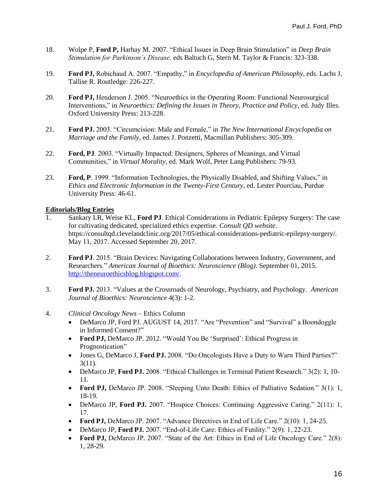- 18. Wolpe P, **Ford P,** Harhay M. 2007. "Ethical Issues in Deep Brain Stimulation" in *Deep Brain Stimulation for Parkinson's Disease*. eds Baltuch G, Stern M. Taylor & Francis: 323-338.
- 19. **Ford PJ,** Robichaud A. 2007. "Empathy," in *Encyclopedia of American Philosophy*, eds. Lachs J, Tallise R. Routledge: 226-227.
- 20. **Ford PJ,** Henderson J. 2005. "Neuroethics in the Operating Room: Functional Neurosurgical Interventions," in *Neuroethics: Defining the Issues in Theory, Practice and Policy*, ed. Judy Illes. Oxford University Press: 213-228.
- 21. **Ford PJ.** 2003. "Circumcision: Male and Female," in *The New International Encyclopedia on Marriage and the Family*, ed. James J. Ponzetti, Macmillan Publishers: 305-309.
- 22. **Ford, PJ**. 2003. "Virtually Impacted: Designers, Spheres of Meanings, and Virtual Communities," in *Virtual Morality*, ed. Mark Wolf, Peter Lang Publishers: 79-93.
- 23. **Ford, P**. 1999. "Information Technologies, the Physically Disabled, and Shifting Values," in *Ethics and Electronic Information in the Twenty-First Century*, ed. Lester Pourciau, Purdue University Press: 46-61.

# **Editorials/Blog Entries**

- 1. Sankary LR, Weise KL, **Ford PJ**. Ethical Considerations in Pediatric Epilepsy Surgery: The case for cultivating dedicated, specialized ethics expertise*. Consult QD website*. https://consultqd.clevelandclinic.org/2017/05/ethical-considerations-pediatric-epilepsy-surgery/. May 11, 2017. Accessed September 20, 2017.
- 2. **Ford PJ**. 2015. "Brain Devices: Navigating Collaborations between Industry, Government, and Researchers." *American Journal of Bioethics: Neuroscience (Blog)*. September 01, 2015. [http://theneuroethicsblog.blogspot.com/.](http://theneuroethicsblog.blogspot.com/)
- 3. **Ford PJ.** 2013. "Values at the Crossroads of Neurology, Psychiatry, and Psychology. *American Journal of Bioethics: Neuroscience* 4(3): 1-2.
- 4. *Clinical Oncology News* Ethics Column
	- DeMarco JP, Ford PJ. AUGUST 14, 2017. "Are "Prevention" and "Survival" a Boondoggle in Informed Consent?"
	- Ford PJ, DeMarco JP. 2012. "Would You Be 'Surprised': Ethical Progress in Prognostication"
	- Jones G, DeMarco J, **Ford PJ.** 2008. "Do Oncologists Have a Duty to Warn Third Parties?" 3(11).
	- DeMarco JP, **Ford PJ.** 2008. "Ethical Challenges in Terminal Patient Research." 3(2): 1, 10- 11.
	- Ford PJ, DeMarco JP. 2008. "Sleeping Unto Death: Ethics of Palliative Sedation." 3(1): 1, 18-19.
	- DeMarco JP, **Ford PJ.** 2007. "Hospice Choices: Continuing Aggressive Caring." 2(11): 1, 17.
	- Ford PJ, DeMarco JP. 2007. "Advance Directives in End of Life Care." 2(10): 1, 24-25.
	- DeMarco JP, **Ford PJ.** 2007. "End-of-Life Care: Ethics of Futility." 2(9): 1, 22-23.
	- Ford PJ, DeMarco JP. 2007. "State of the Art: Ethics in End of Life Oncology Care." 2(8): 1, 28-29.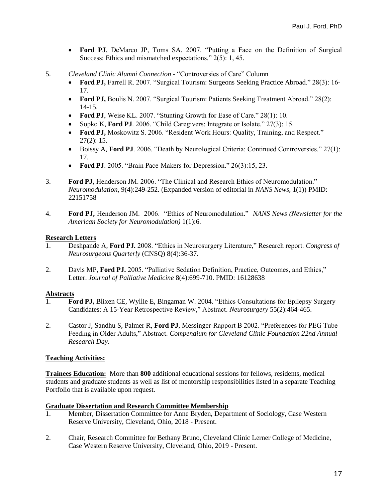- **Ford PJ**, DeMarco JP, Toms SA. 2007. "Putting a Face on the Definition of Surgical Success: Ethics and mismatched expectations." 2(5): 1, 45.
- 5. *Cleveland Clinic Alumni Connection -* "Controversies of Care" Column
	- **Ford PJ,** Farrell R. 2007. "Surgical Tourism: Surgeons Seeking Practice Abroad." 28(3): 16- 17.
	- Ford PJ, Boulis N. 2007. "Surgical Tourism: Patients Seeking Treatment Abroad." 28(2): 14-15.
	- Ford PJ, Weise KL. 2007. "Stunting Growth for Ease of Care." 28(1): 10.
	- Sopko K, **Ford PJ**. 2006. "Child Caregivers: Integrate or Isolate." 27(3): 15.
	- **Ford PJ,** Moskowitz S. 2006. "Resident Work Hours: Quality, Training, and Respect." 27(2): 15.
	- Boissy A, **Ford PJ**. 2006. "Death by Neurological Criteria: Continued Controversies." 27(1): 17.
	- Ford PJ. 2005. "Brain Pace-Makers for Depression." 26(3):15, 23.
- 3. **Ford PJ,** Henderson JM. 2006. "The Clinical and Research Ethics of Neuromodulation." *Neuromodulation,* 9(4):249-252. (Expanded version of editorial in *NANS News*, 1(1)) PMID: 22151758
- 4. **Ford PJ,** Henderson JM. 2006. "Ethics of Neuromodulation." *NANS News (Newsletter for the American Society for Neuromodulation)* 1(1):6.

# **Research Letters**

- 1. Deshpande A, **Ford PJ.** 2008. "Ethics in Neurosurgery Literature," Research report. *Congress of Neurosurgeons Quarterly* (CNSQ) 8(4):36-37.
- 2. Davis MP, **Ford PJ.** 2005. "Palliative Sedation Definition, Practice, Outcomes, and Ethics," Letter. *Journal of Palliative Medicine* 8(4):699-710. PMID: 16128638

## **Abstracts**

- 1. **Ford PJ,** Blixen CE, Wyllie E, Bingaman W. 2004. "Ethics Consultations for Epilepsy Surgery Candidates: A 15-Year Retrospective Review," Abstract. *Neurosurgery* 55(2):464-465.
- 2. Castor J, Sandhu S, Palmer R, **Ford PJ**, Messinger-Rapport B 2002. "Preferences for PEG Tube Feeding in Older Adults," Abstract. *Compendium for Cleveland Clinic Foundation 22nd Annual Research Day*.

# **Teaching Activities:**

**Trainees Education:** More than **800** additional educational sessions for fellows, residents, medical students and graduate students as well as list of mentorship responsibilities listed in a separate Teaching Portfolio that is available upon request.

## **Graduate Dissertation and Research Committee Membership**

- 1. Member, Dissertation Committee for Anne Bryden, Department of Sociology, Case Western Reserve University, Cleveland, Ohio, 2018 - Present.
- 2. Chair, Research Committee for Bethany Bruno, Cleveland Clinic Lerner College of Medicine, Case Western Reserve University, Cleveland, Ohio, 2019 - Present.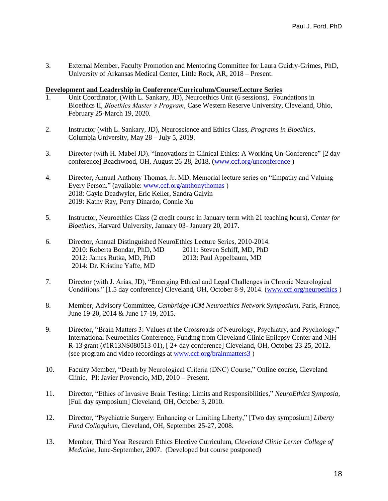3. External Member, Faculty Promotion and Mentoring Committee for Laura Guidry-Grimes, PhD, University of Arkansas Medical Center, Little Rock, AR, 2018 – Present.

## **Development and Leadership in Conference/Curriculum/Course/Lecture Series**

- 1. Unit Coordinator, (With L. Sankary, JD), Neuroethics Unit (6 sessions), Foundations in Bioethics II, *Bioethics Master's Program*, Case Western Reserve University, Cleveland, Ohio, February 25-March 19, 2020.
- 2. Instructor (with L. Sankary, JD), Neuroscience and Ethics Class, *Programs in Bioethics*, Columbia University, May 28 – July 5, 2019.
- 3. Director (with H. Mabel JD). "Innovations in Clinical Ethics: A Working Un-Conference" [2 day conference] Beachwood, OH, August 26-28, 2018. [\(www.ccf.org/unconference](http://www.ccf.org/unconference) )
- 4. Director, Annual Anthony Thomas, Jr. MD. Memorial lecture series on "Empathy and Valuing Every Person." (available: [www.ccf.org/anthonythomas](http://www.ccf.org/anthonythomas) ) 2018: Gayle Deadwyler, Eric Keller, Sandra Galvin 2019: Kathy Ray, Perry Dinardo, Connie Xu
- 5. Instructor, Neuroethics Class (2 credit course in January term with 21 teaching hours), *Center for Bioethics*, Harvard University, January 03- January 20, 2017.
- 6. Director, Annual Distinguished NeuroEthics Lecture Series, 2010-2014. 2010: Roberta Bondar, PhD, MD 2011: Steven Schiff, MD, PhD 2012: James Rutka, MD, PhD 2013: Paul Appelbaum, MD 2014: Dr. Kristine Yaffe, MD
- 7. Director (with J. Arias, JD), "Emerging Ethical and Legal Challenges in Chronic Neurological Conditions." [1.5 day conference] Cleveland, OH, October 8-9, 2014. [\(www.ccf.org/neuroethics](http://www.ccf.org/neuroethics) )
- 8. Member, Advisory Committee, *Cambridge-ICM Neuroethics Network Symposium*, Paris, France, June 19-20, 2014 & June 17-19, 2015.
- 9. Director, "Brain Matters 3: Values at the Crossroads of Neurology, Psychiatry, and Psychology." International Neuroethics Conference, Funding from Cleveland Clinic Epilepsy Center and NIH R-13 grant (#1R13NS080513-01), [ 2+ day conference] Cleveland, OH, October 23-25, 2012. (see program and video recordings at [www.ccf.org/brainmatters3](http://www.ccf.org/brainmatters3) )
- 10. Faculty Member, "Death by Neurological Criteria (DNC) Course," Online course, Cleveland Clinic, PI: Javier Provencio, MD, 2010 – Present.
- 11. Director, "Ethics of Invasive Brain Testing: Limits and Responsibilities," *NeuroEthics Symposia*, [Full day symposium] Cleveland, OH, October 3, 2010.
- 12. Director, "Psychiatric Surgery: Enhancing or Limiting Liberty," [Two day symposium] *Liberty Fund Colloquium*, Cleveland, OH, September 25-27, 2008.
- 13. Member, Third Year Research Ethics Elective Curriculum, *Cleveland Clinic Lerner College of Medicine,* June-September, 2007. (Developed but course postponed)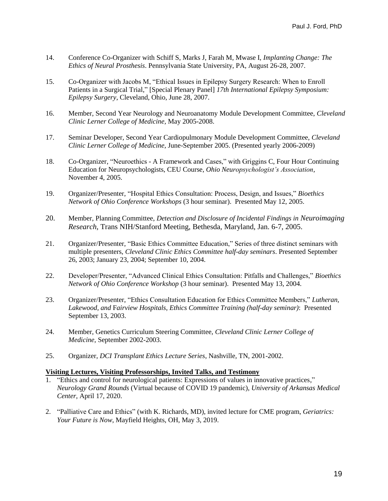- 14. Conference Co-Organizer with Schiff S, Marks J, Farah M, Mwase I, *Implanting Change: The Ethics of Neural Prosthesis*. Pennsylvania State University, PA, August 26-28, 2007.
- 15. Co-Organizer with Jacobs M, "Ethical Issues in Epilepsy Surgery Research: When to Enroll Patients in a Surgical Trial," [Special Plenary Panel] *17th International Epilepsy Symposium: Epilepsy Surgery*, Cleveland, Ohio, June 28, 2007.
- 16. Member, Second Year Neurology and Neuroanatomy Module Development Committee, *Cleveland Clinic Lerner College of Medicine,* May 2005-2008.
- 17. Seminar Developer, Second Year Cardiopulmonary Module Development Committee, *Cleveland Clinic Lerner College of Medicine,* June-September 2005. (Presented yearly 2006-2009)
- 18. Co-Organizer, "Neuroethics A Framework and Cases," with Griggins C, Four Hour Continuing Education for Neuropsychologists, CEU Course, *Ohio Neuropsychologist's Association*, November 4, 2005.
- 19. Organizer/Presenter, "Hospital Ethics Consultation: Process, Design, and Issues," *Bioethics Network of Ohio Conference Workshops* (3 hour seminar). Presented May 12, 2005.
- 20. Member, Planning Committee, *Detection and Disclosure of Incidental Findings in Neuroimaging Research*, Trans NIH/Stanford Meeting, Bethesda, Maryland, Jan. 6-7, 2005.
- 21. Organizer/Presenter, "Basic Ethics Committee Education," Series of three distinct seminars with multiple presenters, *Cleveland Clinic Ethics Committee half-day seminars*. Presented September 26, 2003; January 23, 2004; September 10, 2004.
- 22. Developer/Presenter, "Advanced Clinical Ethics Consultation: Pitfalls and Challenges," *Bioethics Network of Ohio Conference Workshop* (3 hour seminar). Presented May 13, 2004.
- 23. Organizer/Presenter, "Ethics Consultation Education for Ethics Committee Members," *Lutheran, Lakewood, and* F*airview Hospitals*, *Ethics Committee Training (half-day seminar)*: Presented September 13, 2003.
- 24. Member, Genetics Curriculum Steering Committee, *Cleveland Clinic Lerner College of Medicine,* September 2002-2003.
- 25. Organizer, *DCI Transplant Ethics Lecture Series*, Nashville, TN, 2001-2002.

#### **Visiting Lectures, Visiting Professorships, Invited Talks, and Testimony**

- 1. "Ethics and control for neurological patients: Expressions of values in innovative practices," *Neurology Grand Rounds* (Virtual because of COVID 19 pandemic), *University of Arkansas Medical Center*, April 17, 2020.
- 2. "Palliative Care and Ethics" (with K. Richards, MD), invited lecture for CME program, *Geriatrics: Your Future is Now*, Mayfield Heights, OH, May 3, 2019.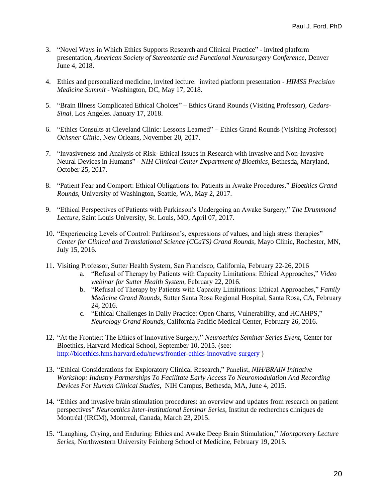- 3. "Novel Ways in Which Ethics Supports Research and Clinical Practice" invited platform presentation, *American Society of Stereotactic and Functional Neurosurgery Conference*, Denver June 4, 2018.
- 4. Ethics and personalized medicine, invited lecture: invited platform presentation *HIMSS Precision Medicine Summit* - Washington, DC, May 17, 2018.
- 5. "Brain Illness Complicated Ethical Choices" Ethics Grand Rounds (Visiting Professor), *Cedars-Sinai*. Los Angeles. January 17, 2018.
- 6. "Ethics Consults at Cleveland Clinic: Lessons Learned" Ethics Grand Rounds (Visiting Professor) *Ochsner Clinic*, New Orleans, November 20, 2017.
- 7. "Invasiveness and Analysis of Risk- Ethical Issues in Research with Invasive and Non-Invasive Neural Devices in Humans" - *NIH Clinical Center Department of Bioethics*, Bethesda, Maryland, October 25, 2017.
- 8. "Patient Fear and Comport: Ethical Obligations for Patients in Awake Procedures." *Bioethics Grand Rounds*, University of Washington, Seattle, WA, May 2, 2017.
- 9. "Ethical Perspectives of Patients with Parkinson's Undergoing an Awake Surgery," *The Drummond Lecture*, Saint Louis University, St. Louis, MO, April 07, 2017.
- 10. "Experiencing Levels of Control: Parkinson's, expressions of values, and high stress therapies" *Center for Clinical and Translational Science (CCaTS) Grand Rounds*, Mayo Clinic, Rochester, MN, July 15, 2016.
- 11. Visiting Professor, Sutter Health System, San Francisco, California, February 22-26, 2016
	- a. "Refusal of Therapy by Patients with Capacity Limitations: Ethical Approaches," *Video webinar for Sutter Health System*, February 22, 2016.
	- b. "Refusal of Therapy by Patients with Capacity Limitations: Ethical Approaches," *Family Medicine Grand Rounds*, Sutter Santa Rosa Regional Hospital, Santa Rosa, CA, February 24, 2016.
	- c. "Ethical Challenges in Daily Practice: Open Charts, Vulnerability, and HCAHPS," *Neurology Grand Rounds*, California Pacific Medical Center, February 26, 2016.
- 12. "At the Frontier: The Ethics of Innovative Surgery," *Neuroethics Seminar Series Event*, Center for Bioethics, Harvard Medical School, September 10, 2015. (see: <http://bioethics.hms.harvard.edu/news/frontier-ethics-innovative-surgery> )
- 13. "Ethical Considerations for Exploratory Clinical Research," Panelist, *NIH/BRAIN Initiative Workshop: Industry Partnerships To Facilitate Early Access To Neuromodulation And Recording Devices For Human Clinical Studies*, NIH Campus, Bethesda, MA, June 4, 2015.
- 14. "Ethics and invasive brain stimulation procedures: an overview and updates from research on patient perspectives" *Neuroethics Inter-institutional Seminar Series*, Institut de recherches cliniques de Montréal (IRCM), Montreal, Canada, March 23, 2015.
- 15. "Laughing, Crying, and Enduring: Ethics and Awake Deep Brain Stimulation," *Montgomery Lecture Series*, Northwestern University Feinberg School of Medicine, February 19, 2015.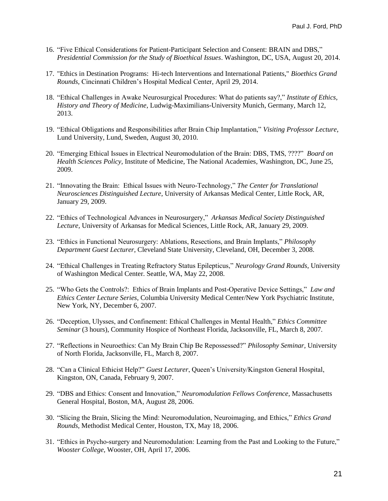- 16. "Five Ethical Considerations for Patient-Participant Selection and Consent: BRAIN and DBS," *Presidential Commission for the Study of Bioethical Issues*. Washington, DC, USA, August 20, 2014.
- 17. "Ethics in Destination Programs: Hi-tech Interventions and International Patients," *Bioethics Grand Rounds,* Cincinnati Children's Hospital Medical Center, April 29, 2014.
- 18. "Ethical Challenges in Awake Neurosurgical Procedures: What do patients say?," *Institute of Ethics, History and Theory of Medicine*, Ludwig-Maximilians-University Munich, Germany, March 12, 2013.
- 19. "Ethical Obligations and Responsibilities after Brain Chip Implantation," *Visiting Professor Lecture*, Lund University, Lund, Sweden, August 30, 2010.
- 20. "Emerging Ethical Issues in Electrical Neuromodulation of the Brain: DBS, TMS, ????" *Board on Health Sciences Policy,* Institute of Medicine, The National Academies*,* Washington, DC, June 25, 2009.
- 21. "Innovating the Brain: Ethical Issues with Neuro-Technology," *The Center for Translational Neurosciences Distinguished Lecture*, University of Arkansas Medical Center, Little Rock, AR, January 29, 2009.
- 22. "Ethics of Technological Advances in Neurosurgery," *Arkansas Medical Society Distinguished Lecture,* University of Arkansas for Medical Sciences*,* Little Rock, AR, January 29, 2009.
- 23. "Ethics in Functional Neurosurgery: Ablations, Resections, and Brain Implants," *Philosophy Department Guest Lecturer*, Cleveland State University, Cleveland, OH, December 3, 2008.
- 24. "Ethical Challenges in Treating Refractory Status Epilepticus," *Neurology Grand Rounds*, University of Washington Medical Center. Seattle, WA, May 22, 2008.
- 25. "Who Gets the Controls?: Ethics of Brain Implants and Post-Operative Device Settings," *Law and Ethics Center Lecture Series*, Columbia University Medical Center/New York Psychiatric Institute, New York, NY, December 6, 2007.
- 26. "Deception, Ulysses, and Confinement: Ethical Challenges in Mental Health," *Ethics Committee Seminar* (3 hours), Community Hospice of Northeast Florida, Jacksonville, FL, March 8, 2007.
- 27. "Reflections in Neuroethics: Can My Brain Chip Be Repossessed?" *Philosophy Seminar,* University of North Florida, Jacksonville, FL, March 8, 2007.
- 28. "Can a Clinical Ethicist Help?" *Guest Lecturer*, Queen's University/Kingston General Hospital, Kingston, ON, Canada, February 9, 2007.
- 29. "DBS and Ethics: Consent and Innovation," *Neuromodulation Fellows Conference,* Massachusetts General Hospital*,* Boston, MA, August 28, 2006.
- 30. "Slicing the Brain, Slicing the Mind: Neuromodulation, Neuroimaging, and Ethics," *Ethics Grand Rounds*, Methodist Medical Center, Houston, TX, May 18, 2006.
- 31. "Ethics in Psycho-surgery and Neuromodulation: Learning from the Past and Looking to the Future," *Wooster College,* Wooster, OH, April 17, 2006.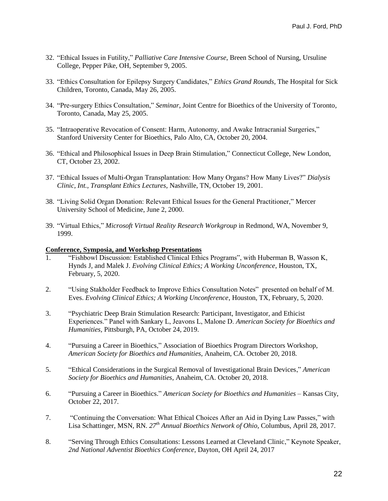- 32. "Ethical Issues in Futility," *Palliative Care Intensive Course*, Breen School of Nursing, Ursuline College, Pepper Pike, OH, September 9, 2005.
- 33. "Ethics Consultation for Epilepsy Surgery Candidates," *Ethics Grand Rounds,* The Hospital for Sick Children, Toronto, Canada, May 26, 2005.
- 34. "Pre-surgery Ethics Consultation," *Seminar,* Joint Centre for Bioethics of the University of Toronto, Toronto, Canada, May 25, 2005.
- 35. "Intraoperative Revocation of Consent: Harm, Autonomy, and Awake Intracranial Surgeries," Stanford University Center for Bioethics, Palo Alto, CA, October 20, 2004.
- 36. "Ethical and Philosophical Issues in Deep Brain Stimulation," Connecticut College, New London, CT, October 23, 2002.
- 37. "Ethical Issues of Multi-Organ Transplantation: How Many Organs? How Many Lives?" *Dialysis Clinic, Int., Transplant Ethics Lectures*, Nashville, TN, October 19, 2001.
- 38. "Living Solid Organ Donation: Relevant Ethical Issues for the General Practitioner," Mercer University School of Medicine, June 2, 2000.
- 39. "Virtual Ethics," *Microsoft Virtual Reality Research Workgroup* in Redmond, WA, November 9, 1999.

# **Conference, Symposia, and Workshop Presentations**

- 1. "Fishbowl Discussion: Established Clinical Ethics Programs", with Huberman B, Wasson K, Hynds J, and Malek J. *Evolving Clinical Ethics; A Working Unconference*, Houston, TX, February, 5, 2020.
- 2. "Using Stakholder Feedback to Improve Ethics Consultation Notes" presented on behalf of M. Eves. *Evolving Clinical Ethics; A Working Unconference*, Houston, TX, February, 5, 2020.
- 3. "Psychiatric Deep Brain Stimulation Research: Participant, Investigator, and Ethicist Experiences." Panel with Sankary L, Jeavons L, Malone D. *American Society for Bioethics and Humanities,* Pittsburgh, PA, October 24, 2019.
- 4. "Pursuing a Career in Bioethics," Association of Bioethics Program Directors Workshop, *American Society for Bioethics and Humanities*, Anaheim, CA. October 20, 2018.
- 5. "Ethical Considerations in the Surgical Removal of Investigational Brain Devices," *American Society for Bioethics and Humanities*, Anaheim, CA. October 20, 2018.
- 6. "Pursuing a Career in Bioethics." *American Society for Bioethics and Humanities* Kansas City, October 22, 2017.
- 7. "Continuing the Conversation: What Ethical Choices After an Aid in Dying Law Passes," with Lisa Schattinger, MSN, RN. *27th Annual Bioethics Network of Ohio*, Columbus, April 28, 2017.
- 8. "Serving Through Ethics Consultations: Lessons Learned at Cleveland Clinic," Keynote Speaker, *2nd National Adventist Bioethics Conference,* Dayton, OH April 24, 2017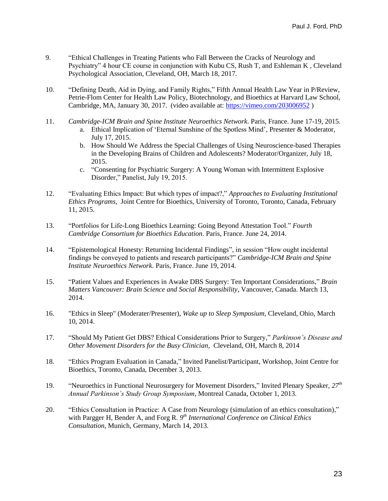- 9. "Ethical Challenges in Treating Patients who Fall Between the Cracks of Neurology and Psychiatry" 4 hour CE course in conjunction with Kubu CS, Rush T, and Eshleman K , Cleveland Psychological Association, Cleveland, OH, March 18, 2017.
- 10. "Defining Death, Aid in Dying, and Family Rights," Fifth Annual Health Law Year in P/Review, Petrie-Flom Center for Health Law Policy, Biotechnology, and Bioethics at Harvard Law School, Cambridge, MA, January 30, 2017. (video available at:<https://vimeo.com/203006952> )
- 11. *Cambridge-ICM Brain and Spine Institute Neuroethics Network*. Paris, France. June 17-19, 2015. a. Ethical Implication of 'Eternal Sunshine of the Spotless Mind', Presenter & Moderator, July 17, 2015.
	- b. How Should We Address the Special Challenges of Using Neuroscience-based Therapies in the Developing Brains of Children and Adolescents? Moderator/Organizer, July 18, 2015.
	- c. "Consenting for Psychiatric Surgery: A Young Woman with Intermittent Explosive Disorder," Panelist, July 19, 2015.
- 12. "Evaluating Ethics Impact: But which types of impact?," *Approaches to Evaluating Institutional Ethics Programs*, Joint Centre for Bioethics, University of Toronto, Toronto, Canada, February 11, 2015.
- 13. "Portfolios for Life-Long Bioethics Learning: Going Beyond Attestation Tool." *Fourth Cambridge Consortium for Bioethics Education*. Paris, France. June 24, 2014.
- 14. "Epistemological Honesty: Returning Incidental Findings", in session "How ought incidental findings be conveyed to patients and research participants?" *Cambridge-ICM Brain and Spine Institute Neuroethics Network*. Paris, France. June 19, 2014.
- 15. "Patient Values and Experiences in Awake DBS Surgery: Ten Important Considerations," *Brain Matters Vancouver: Brain Science and Social Responsibility*, Vancouver, Canada. March 13, 2014.
- 16. "Ethics in Sleep" (Moderater/Presenter), *Wake up to Sleep Symposium,* Cleveland, Ohio, March 10, 2014.
- 17. "Should My Patient Get DBS? Ethical Considerations Prior to Surgery," *Parkinson's Disease and Other Movement Disorders for the Busy Clinician*, Cleveland, OH, March 8, 2014
- 18. "Ethics Program Evaluation in Canada," Invited Panelist/Participant, Workshop, Joint Centre for Bioethics, Toronto, Canada, December 3, 2013.
- 19. "Neuroethics in Functional Neurosurgery for Movement Disorders," Invited Plenary Speaker, *27th Annual Parkinson's Study Group Symposium*, Montreal Canada, October 1, 2013.
- 20. "Ethics Consultation in Practice: A Case from Neurology (simulation of an ethics consultation)," with Pargger H, Bender A, and Forg R.  $9<sup>th</sup> International Conference on Clinical Ethics$ *Consultation*, Munich, Germany, March 14, 2013.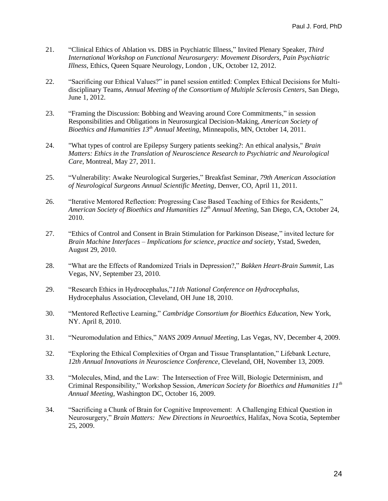- 21. "Clinical Ethics of Ablation vs. DBS in Psychiatric Illness," Invited Plenary Speaker, *Third International Workshop on Functional Neurosurgery: Movement Disorders, Pain Psychiatric Illness*, Ethics, Queen Square Neurology, London , UK, October 12, 2012.
- 22. "Sacrificing our Ethical Values?" in panel session entitled: Complex Ethical Decisions for Multidisciplinary Teams, *Annual Meeting of the Consortium of Multiple Sclerosis Centers*, San Diego, June 1, 2012.
- 23. "Framing the Discussion: Bobbing and Weaving around Core Commitments," in session Responsibilities and Obligations in Neurosurgical Decision-Making, *American Society of Bioethics and Humanities 13 th Annual Meeting*, Minneapolis, MN, October 14, 2011.
- 24. "What types of control are Epilepsy Surgery patients seeking?: An ethical analysis," *Brain Matters: Ethics in the Translation of Neuroscience Research to Psychiatric and Neurological Care*, Montreal, May 27, 2011.
- 25. "Vulnerability: Awake Neurological Surgeries," Breakfast Seminar, *79th American Association of Neurological Surgeons Annual Scientific Meeting*, Denver, CO, April 11, 2011*.*
- 26. "Iterative Mentored Reflection: Progressing Case Based Teaching of Ethics for Residents," *American Society of Bioethics and Humanities 12th Annual Meeting*, San Diego, CA, October 24, 2010.
- 27. "Ethics of Control and Consent in Brain Stimulation for Parkinson Disease," invited lecture for *Brain Machine Interfaces – Implications for science, practice and society*, Ystad, Sweden, August 29, 2010.
- 28. "What are the Effects of Randomized Trials in Depression?," *Bakken Heart-Brain Summit*, Las Vegas, NV, September 23, 2010.
- 29. "Research Ethics in Hydrocephalus,"*11th National Conference on Hydrocephalus*, Hydrocephalus Association, Cleveland, OH June 18, 2010.
- 30. "Mentored Reflective Learning," *Cambridge Consortium for Bioethics Education*, New York, NY. April 8, 2010.
- 31. "Neuromodulation and Ethics," *NANS 2009 Annual Meeting,* Las Vegas, NV, December 4, 2009.
- 32. "Exploring the Ethical Complexities of Organ and Tissue Transplantation," Lifebank Lecture, *12th Annual Innovations in Neuroscience Conference*, Cleveland, OH, November 13, 2009.
- 33. "Molecules, Mind, and the Law: The Intersection of Free Will, Biologic Determinism, and Criminal Responsibility," Workshop Session, *American Society for Bioethics and Humanities 11th Annual Meeting,* Washington DC, October 16, 2009.
- 34. "Sacrificing a Chunk of Brain for Cognitive Improvement: A Challenging Ethical Question in Neurosurgery," *Brain Matters: New Directions in Neuroethics,* Halifax, Nova Scotia, September 25, 2009.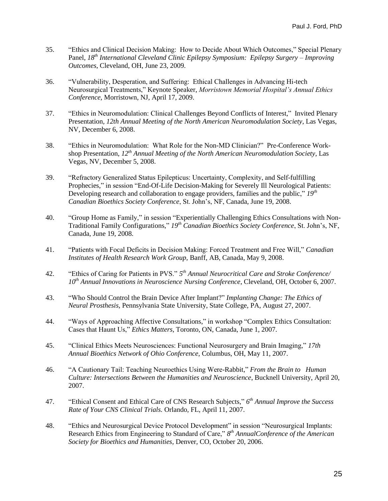- 35. "Ethics and Clinical Decision Making: How to Decide About Which Outcomes," Special Plenary Panel, *18th International Cleveland Clinic Epilepsy Symposium: Epilepsy Surgery – Improving Outcomes*, Cleveland, OH, June 23, 2009.
- 36. "Vulnerability, Desperation, and Suffering: Ethical Challenges in Advancing Hi-tech Neurosurgical Treatments," Keynote Speaker, *Morristown Memorial Hospital's Annual Ethics Conference,* Morristown, NJ, April 17, 2009.
- 37. "Ethics in Neuromodulation: Clinical Challenges Beyond Conflicts of Interest," Invited Plenary Presentation*, 12th Annual Meeting of the North American Neuromodulation Society*, Las Vegas, NV, December 6, 2008.
- 38. "Ethics in Neuromodulation: What Role for the Non-MD Clinician?" Pre-Conference Workshop Presentation, *12th Annual Meeting of the North American Neuromodulation Society*, Las Vegas, NV, December 5, 2008.
- 39. "Refractory Generalized Status Epilepticus: Uncertainty, Complexity, and Self-fulfilling Prophecies," in session "End-Of-Life Decision-Making for Severely Ill Neurological Patients: Developing research and collaboration to engage providers, families and the public," *19th Canadian Bioethics Society Conference*, St. John's, NF, Canada, June 19, 2008.
- 40. "Group Home as Family," in session "Experientially Challenging Ethics Consultations with Non-Traditional Family Configurations," *19th Canadian Bioethics Society Conference*, St. John's, NF, Canada, June 19, 2008.
- 41. "Patients with Focal Deficits in Decision Making: Forced Treatment and Free Will," *Canadian Institutes of Health Research Work Group,* Banff, AB, Canada, May 9, 2008.
- 42. "Ethics of Caring for Patients in PVS." *5 th Annual Neurocritical Care and Stroke Conference/ 10th Annual Innovations in Neuroscience Nursing Conference*, Cleveland, OH, October 6, 2007.
- 43. "Who Should Control the Brain Device After Implant?" *Implanting Change: The Ethics of Neural Prosthesis*, Pennsylvania State University, State College, PA, August 27, 2007.
- 44. "Ways of Approaching Affective Consultations," in workshop "Complex Ethics Consultation: Cases that Haunt Us," *Ethics Matters*, Toronto, ON, Canada, June 1, 2007.
- 45. "Clinical Ethics Meets Neurosciences: Functional Neurosurgery and Brain Imaging," *17th Annual Bioethics Network of Ohio Conference,* Columbus, OH, May 11, 2007.
- 46. "A Cautionary Tail: Teaching Neuroethics Using Were-Rabbit," *From the Brain to Human Culture: Intersections Between the Humanities and Neuroscience*, Bucknell University, April 20, 2007.
- 47. "Ethical Consent and Ethical Care of CNS Research Subjects," *6 th Annual Improve the Success Rate of Your CNS Clinical Trials.* Orlando, FL, April 11, 2007.
- 48. "Ethics and Neurosurgical Device Protocol Development" in session "Neurosurgical Implants: Research Ethics from Engineering to Standard of Care," *8 th AnnualConference of the American Society for Bioethics and Humanities*, Denver, CO, October 20, 2006.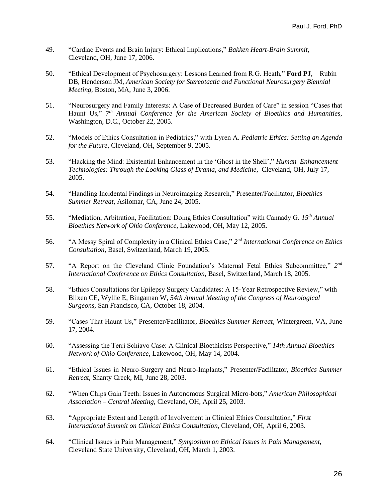- 49. "Cardiac Events and Brain Injury: Ethical Implications," *Bakken Heart-Brain Summit,* Cleveland, OH, June 17, 2006.
- 50. "Ethical Development of Psychosurgery: Lessons Learned from R.G. Heath," **Ford PJ***,* Rubin DB, Henderson JM, *American Society for Stereotactic and Functional Neurosurgery Biennial Meeting*, Boston, MA, June 3, 2006.
- 51. "Neurosurgery and Family Interests: A Case of Decreased Burden of Care" in session "Cases that Haunt Us," *7 th Annual Conference for the American Society of Bioethics and Humanities*, Washington, D.C., October 22, 2005.
- 52. "Models of Ethics Consultation in Pediatrics," with Lyren A. *Pediatric Ethics: Setting an Agenda for the Future*, Cleveland, OH, September 9, 2005.
- 53. "Hacking the Mind: Existential Enhancement in the 'Ghost in the Shell'," *Human Enhancement Technologies: Through the Looking Glass of Drama, and Medicine*, Cleveland, OH, July 17, 2005.
- 54. "Handling Incidental Findings in Neuroimaging Research," Presenter/Facilitator, *Bioethics Summer Retreat*, Asilomar, CA, June 24, 2005.
- 55. "Mediation, Arbitration, Facilitation: Doing Ethics Consultation" with Cannady G. *15th Annual Bioethics Network of Ohio Conference*, Lakewood, OH, May 12, 2005**.**
- 56. "A Messy Spiral of Complexity in a Clinical Ethics Case," *2 nd International Conference on Ethics Consultation*, Basel, Switzerland, March 19, 2005.
- 57. "A Report on the Cleveland Clinic Foundation's Maternal Fetal Ethics Subcommittee," 2<sup>nd</sup> *International Conference on Ethics Consultation*, Basel, Switzerland, March 18, 2005.
- 58. "Ethics Consultations for Epilepsy Surgery Candidates: A 15-Year Retrospective Review," with Blixen CE, Wyllie E, Bingaman W, *54th Annual Meeting of the Congress of Neurological Surgeons,* San Francisco, CA, October 18, 2004.
- 59. "Cases That Haunt Us," Presenter/Facilitator, *Bioethics Summer Retreat,* Wintergreen, VA, June 17, 2004.
- 60. "Assessing the Terri Schiavo Case: A Clinical Bioethicists Perspective," *14th Annual Bioethics Network of Ohio Conference*, Lakewood, OH, May 14, 2004.
- 61. "Ethical Issues in Neuro-Surgery and Neuro-Implants," Presenter/Facilitator, *Bioethics Summer Retreat*, Shanty Creek, MI, June 28, 2003.
- 62. "When Chips Gain Teeth: Issues in Autonomous Surgical Micro-bots," *American Philosophical Association – Central Meeting*, Cleveland, OH, April 25, 2003.
- 63. **"**Appropriate Extent and Length of Involvement in Clinical Ethics Consultation," *First International Summit on Clinical Ethics Consultation*, Cleveland, OH, April 6, 2003.
- 64. "Clinical Issues in Pain Management," *Symposium on Ethical Issues in Pain Management*, Cleveland State University, Cleveland, OH, March 1, 2003.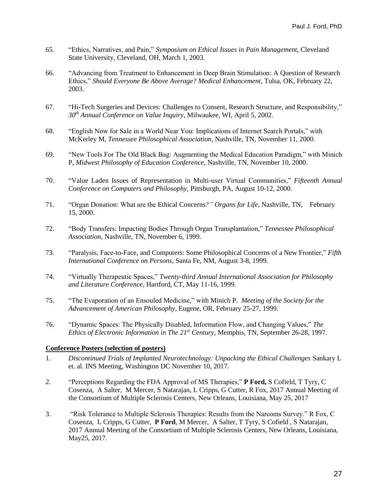- 65. "Ethics, Narratives, and Pain," *Symposium on Ethical Issues in Pain Management*, Cleveland State University, Cleveland, OH, March 1, 2003.
- 66. "Advancing from Treatment to Enhancement in Deep Brain Stimulation: A Question of Research Ethics," *Should Everyone Be Above Average? Medical Enhancement*, Tulsa, OK, February 22, 2003.
- 67. "Hi-Tech Surgeries and Devices: Challenges to Consent, Research Structure, and Responsibility," *30th Annual Conference on Value Inquiry,* Milwaukee, WI, April 5, 2002.
- 68. "English Now for Sale in a World Near You: Implications of Internet Search Portals," with McKerley M, *Tennessee Philosophical Association*, Nashville, TN, November 11, 2000.
- 69. "New Tools For The Old Black Bag: Augmenting the Medical Education Paradigm," with Minich P, *Midwest Philosophy of Education Conference,* Nashville, TN, November 10, 2000.
- 70. "Value Laden Issues of Representation in Multi-user Virtual Communities," *Fifteenth Annual Conference on Computers and Philosophy,* Pittsburgh, PA, August 10-12, 2000.
- 71. "Organ Donation: What are the Ethical Concerns*?" Organs for Life*, Nashville, TN, February 15, 2000.
- 72. "Body Transfers: Impacting Bodies Through Organ Transplantation," *Tennessee Philosophical Association*, Nashville, TN, November 6, 1999.
- 73. "Paralysis, Face-to-Face, and Computers: Some Philosophical Concerns of a New Frontier," *Fifth International Conference on Persons*, Santa Fe, NM, August 3-8, 1999.
- 74. "Virtually Therapeutic Spaces," *Twenty-third Annual International Association for Philosophy and Literature Conference*, Hartford, CT, May 11-16, 1999.
- 75. "The Evaporation of an Ensouled Medicine," with Minich P. *Meeting of the Society for the Advancement of American Philosophy*, Eugene, OR, February 25-27, 1999.
- 76. "Dynamic Spaces: The Physically Disabled, Information Flow, and Changing Values," *The Ethics of Electronic Information in The 21st Century*, Memphis, TN, September 26-28, 1997.

## **Conference Posters (selection of posters)**

- 1. *Discontinued Trials of Implanted Neurotechnology: Unpacking the Ethical Challenges* Sankary L et. al. INS Meeting, Washington DC November 10, 2017.
- 2. "Perceptions Regarding the FDA Approval of MS Therapies," **P Ford,** S Cofield, T Tyry, C Cosenza, A Salter, M Mercer, S Natarajan, L Cripps, G Cutter, R Fox, 2017 Annual Meeting of the Consortium of Multiple Sclerosis Centers, New Orleans, Louisiana, May 25, 2017
- 3. "Risk Tolerance to Multiple Sclerosis Therapies: Results from the Narcoms Survey." R Fox, C Cosenza, L Cripps, G Cutter, **P Ford**, M Mercer, A Salter, T Tyry, S Cofield , S Natarajan, 2017 Annual Meeting of the Consortium of Multiple Sclerosis Centers, New Orleans, Louisiana, May25, 2017.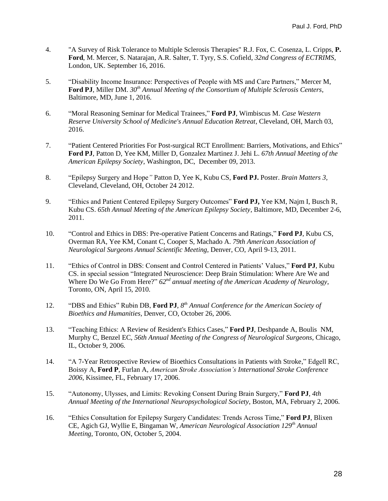- 4. "A Survey of Risk Tolerance to Multiple Sclerosis Therapies" R.J. Fox, C. Cosenza, L. Cripps, **P. Ford**, M. Mercer, S. Natarajan, A.R. Salter, T. Tyry, S.S. Cofield, *32nd Congress of ECTRIMS*, London, UK. September 16, 2016.
- 5. "Disability Income Insurance: Perspectives of People with MS and Care Partners," Mercer M, **Ford PJ**, Miller DM. *30th Annual Meeting of the Consortium of Multiple Sclerosis Centers*, Baltimore, MD, June 1, 2016.
- 6. "Moral Reasoning Seminar for Medical Trainees," **Ford PJ**, Wimbiscus M. *Case Western Reserve University School of Medicine's Annual Education Retreat*, Cleveland, OH, March 03, 2016.
- 7. "Patient Centered Priorities For Post-surgical RCT Enrollment: Barriers, Motivations, and Ethics" **Ford PJ**, Patton D, Yee KM, Miller D, Gonzalez Martinez J. Jehi L. *67th Annual Meeting of the American Epilepsy Society*, Washington, DC, December 09, 2013.
- 8. "Epilepsy Surgery and Hope*"* Patton D, Yee K, Kubu CS, **Ford PJ.** Poster. *Brain Matters 3,*  Cleveland, Cleveland, OH, October 24 2012.
- 9. "Ethics and Patient Centered Epilepsy Surgery Outcomes" **Ford PJ,** Yee KM, Najm I, Busch R, Kubu CS. *65th Annual Meeting of the American Epilepsy Society*, Baltimore, MD, December 2-6, 2011.
- 10. "Control and Ethics in DBS: Pre-operative Patient Concerns and Ratings," **Ford PJ**, Kubu CS, Overman RA, Yee KM, Conant C, Cooper S, Machado A. *79th American Association of Neurological Surgeons Annual Scientific Meeting*, Denver, CO, April 9-13, 2011*.*
- 11. "Ethics of Control in DBS: Consent and Control Centered in Patients' Values," **Ford PJ**, Kubu CS. in special session "Integrated Neuroscience: Deep Brain Stimulation: Where Are We and Where Do We Go From Here?" *62nd annual meeting of the American Academy of Neurology*, Toronto, ON, April 15, 2010.
- 12. "DBS and Ethics" Rubin DB, **Ford PJ**, *8 th Annual Conference for the American Society of Bioethics and Humanities,* Denver, CO, October 26, 2006.
- 13. "Teaching Ethics: A Review of Resident's Ethics Cases," **Ford PJ**, Deshpande A, Boulis NM, Murphy C, Benzel EC, *56th Annual Meeting of the Congress of Neurological Surgeons*, Chicago, IL, October 9, 2006.
- 14. "A 7-Year Retrospective Review of Bioethics Consultations in Patients with Stroke," Edgell RC, Boissy A, **Ford P**, Furlan A, *American Stroke Association's International Stroke Conference 2006*, Kissimee, FL, February 17, 2006.
- 15. "Autonomy, Ulysses, and Limits: Revoking Consent During Brain Surgery," **Ford PJ**, *4th Annual Meeting of the International Neuropsychological Society*, Boston, MA, February 2, 2006.
- 16. "Ethics Consultation for Epilepsy Surgery Candidates: Trends Across Time," **Ford PJ**, Blixen CE, Agich GJ, Wyllie E, Bingaman W, *American Neurological Association 129th Annual Meeting*, Toronto, ON, October 5, 2004.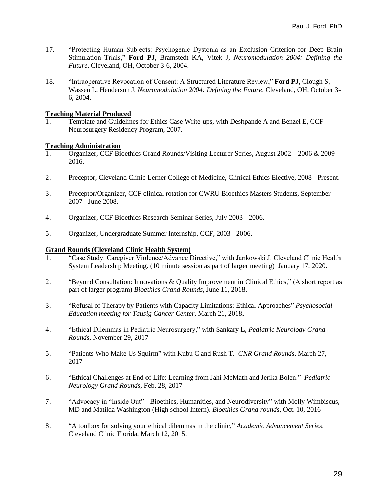- 17. "Protecting Human Subjects: Psychogenic Dystonia as an Exclusion Criterion for Deep Brain Stimulation Trials," **Ford PJ**, Bramstedt KA, Vitek J, *Neuromodulation 2004: Defining the Future*, Cleveland, OH, October 3-6, 2004.
- 18. "Intraoperative Revocation of Consent: A Structured Literature Review," **Ford PJ**, Clough S, Wassen L, Henderson J, *Neuromodulation 2004: Defining the Future*, Cleveland, OH, October 3- 6, 2004.

# **Teaching Material Produced**

1. Template and Guidelines for Ethics Case Write-ups, with Deshpande A and Benzel E, CCF Neurosurgery Residency Program, 2007.

# **Teaching Administration**

- 1. Organizer, CCF Bioethics Grand Rounds/Visiting Lecturer Series, August 2002 2006 & 2009 2016.
- 2. Preceptor, Cleveland Clinic Lerner College of Medicine, Clinical Ethics Elective, 2008 Present.
- 3. Preceptor/Organizer, CCF clinical rotation for CWRU Bioethics Masters Students, September 2007 - June 2008.
- 4. Organizer, CCF Bioethics Research Seminar Series, July 2003 2006.
- 5. Organizer, Undergraduate Summer Internship, CCF, 2003 2006.

# **Grand Rounds (Cleveland Clinic Health System)**

- 1. "Case Study: Caregiver Violence/Advance Directive," with Jankowski J. Cleveland Clinic Health System Leadership Meeting. (10 minute session as part of larger meeting) January 17, 2020.
- 2. "Beyond Consultation: Innovations & Quality Improvement in Clinical Ethics," (A short report as part of larger program) *Bioethics Grand Rounds*, June 11, 2018.
- 3. "Refusal of Therapy by Patients with Capacity Limitations: Ethical Approaches" *Psychosocial Education meeting for Tausig Cancer Center,* March 21, 2018.
- 4. "Ethical Dilemmas in Pediatric Neurosurgery," with Sankary L, *Pediatric Neurology Grand Rounds,* November 29, 2017
- 5. "Patients Who Make Us Squirm" with Kubu C and Rush T. *CNR Grand Rounds*, March 27, 2017
- 6. "Ethical Challenges at End of Life: Learning from Jahi McMath and Jerika Bolen." *Pediatric Neurology Grand Rounds*, Feb. 28, 2017
- 7. "Advocacy in "Inside Out" Bioethics, Humanities, and Neurodiversity" with Molly Wimbiscus, MD and Matilda Washington (High school Intern). *Bioethics Grand rounds*, Oct. 10, 2016
- 8. "A toolbox for solving your ethical dilemmas in the clinic," *Academic Advancement Series*, Cleveland Clinic Florida, March 12, 2015.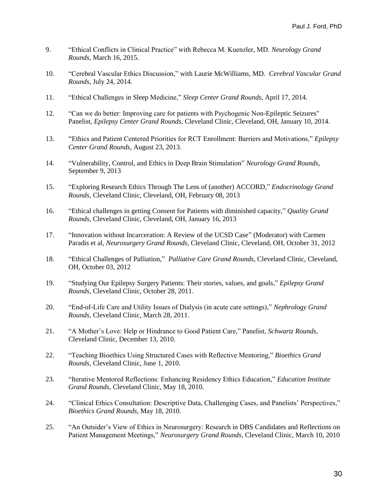- 9. "Ethical Conflicts in Clinical Practice" with Rebecca M. Kuenzler, MD. *Neurology Grand Rounds*, March 16, 2015.
- 10. "Cerebral Vascular Ethics Discussion," with Laurie McWilliams, MD. *Cerebral Vascular Grand Rounds*, July 24, 2014.
- 11. "Ethical Challenges in Sleep Medicine," *Sleep Center Grand Rounds*, April 17, 2014.
- 12. "Can we do better: Improving care for patients with Psychogenic Non-Epileptic Seizures" Panelist, *Epilepsy Center Grand Rounds*, Cleveland Clinic, Cleveland, OH, January 10, 2014.
- 13. "Ethics and Patient Centered Priorities for RCT Enrollment: Barriers and Motivations," *Epilepsy Center Grand Rounds*, August 23, 2013.
- 14. "Vulnerability, Control, and Ethics in Deep Brain Stimulation" *Neurology Grand Rounds*, September 9, 2013
- 15. "Exploring Research Ethics Through The Lens of (another) ACCORD," *Endocrinology Grand Rounds*, Cleveland Clinic, Cleveland, OH, February 08, 2013
- 16. "Ethical challenges in getting Consent for Patients with diminished capacity," *Quality Grand Rounds*, Cleveland Clinic, Cleveland, OH, January 16, 2013
- 17. "Innovation without Incarceration: A Review of the UCSD Case" (Moderator) with Carmen Paradis et al, *Neurosurgery Grand Rounds*, Cleveland Clinic, Cleveland, OH, October 31, 2012
- 18. "Ethical Challenges of Palliation," *Palliative Care Grand Rounds*, Cleveland Clinic, Cleveland, OH, October 03, 2012
- 19. "Studying Our Epilepsy Surgery Patients: Their stories, values, and goals," *Epilepsy Grand Rounds*, Cleveland Clinic, October 28, 2011.
- 20. "End-of-Life Care and Utility Issues of Dialysis (in acute care settings)," *Nephrology Grand Rounds*, Cleveland Clinic, March 28, 2011.
- 21. "A Mother's Love: Help or Hindrance to Good Patient Care," Panelist, *Schwartz Rounds*, Cleveland Clinic, December 13, 2010.
- 22. "Teaching Bioethics Using Structured Cases with Reflective Mentoring," *Bioethics Grand Rounds*, Cleveland Clinic, June 1, 2010.
- 23. "Iterative Mentored Reflections: Enhancing Residency Ethics Education," *Education Institute Grand Rounds*, Cleveland Clinic, May 18, 2010.
- 24. "Clinical Ethics Consultation: Descriptive Data, Challenging Cases, and Panelists' Perspectives," *Bioethics Grand Rounds*, May 18, 2010.
- 25. "An Outsider's View of Ethics in Neurosurgery: Research in DBS Candidates and Reflections on Patient Management Meetings," *Neurosurgery Grand Rounds*, Cleveland Clinic, March 10, 2010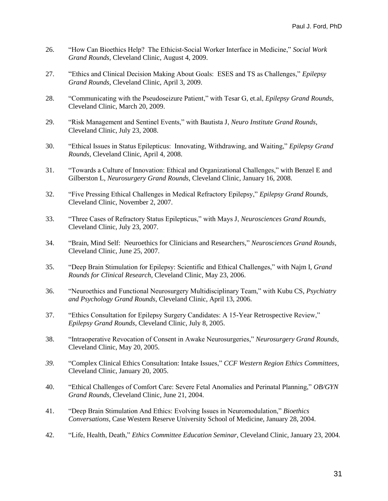- 26. "How Can Bioethics Help? The Ethicist-Social Worker Interface in Medicine," *Social Work Grand Rounds,* Cleveland Clinic, August 4, 2009.
- 27. "Ethics and Clinical Decision Making About Goals: ESES and TS as Challenges," *Epilepsy Grand Rounds*, Cleveland Clinic, April 3, 2009.
- 28. "Communicating with the Pseudoseizure Patient," with Tesar G, et.al, *Epilepsy Grand Rounds,*  Cleveland Clinic, March 20, 2009.
- 29. "Risk Management and Sentinel Events," with Bautista J, *Neuro Institute Grand Rounds*, Cleveland Clinic, July 23, 2008.
- 30. "Ethical Issues in Status Epilepticus: Innovating, Withdrawing, and Waiting," *Epilepsy Grand Rounds*, Cleveland Clinic, April 4, 2008.
- 31. "Towards a Culture of Innovation: Ethical and Organizational Challenges," with Benzel E and Gilberston L, *Neurosurgery Grand Rounds*, Cleveland Clinic, January 16, 2008.
- 32. "Five Pressing Ethical Challenges in Medical Refractory Epilepsy," *Epilepsy Grand Rounds*, Cleveland Clinic, November 2, 2007.
- 33. "Three Cases of Refractory Status Epilepticus," with Mays J, *Neurosciences Grand Rounds,*  Cleveland Clinic*,* July 23, 2007.
- 34. "Brain, Mind Self: Neuroethics for Clinicians and Researchers," *Neurosciences Grand Rounds,* Cleveland Clinic, June 25, 2007.
- 35. "Deep Brain Stimulation for Epilepsy: Scientific and Ethical Challenges," with Najm I, *Grand Rounds for Clinical Research*, Cleveland Clinic, May 23, 2006.
- 36. "Neuroethics and Functional Neurosurgery Multidisciplinary Team," with Kubu CS, *Psychiatry and Psychology Grand Rounds*, Cleveland Clinic, April 13, 2006.
- 37. "Ethics Consultation for Epilepsy Surgery Candidates: A 15-Year Retrospective Review," *Epilepsy Grand Rounds*, Cleveland Clinic, July 8, 2005.
- 38. "Intraoperative Revocation of Consent in Awake Neurosurgeries," *Neurosurgery Grand Rounds,* Cleveland Clinic, May 20, 2005.
- *39.* "Complex Clinical Ethics Consultation: Intake Issues," *CCF Western Region Ethics Committees*, Cleveland Clinic, January 20, 2005.
- 40. "Ethical Challenges of Comfort Care: Severe Fetal Anomalies and Perinatal Planning," *OB/GYN Grand Rounds*, Cleveland Clinic, June 21, 2004.
- 41. "Deep Brain Stimulation And Ethics: Evolving Issues in Neuromodulation," *Bioethics Conversations*, Case Western Reserve University School of Medicine, January 28, 2004.
- 42. "Life, Health, Death," *Ethics Committee Education Seminar*, Cleveland Clinic, January 23, 2004.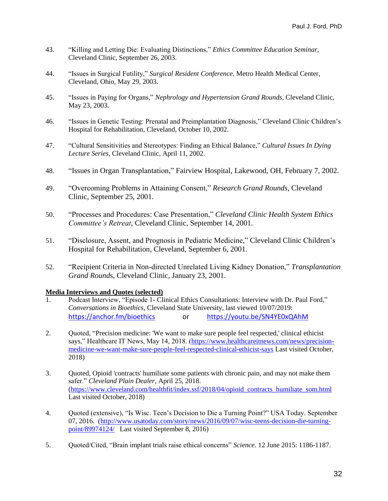- 43. "Killing and Letting Die: Evaluating Distinctions," *Ethics Committee Education Seminar,* Cleveland Clinic, September 26, 2003.
- 44. "Issues in Surgical Futility," *Surgical Resident Conference*, Metro Health Medical Center, Cleveland, Ohio, May 29, 2003.
- 45. "Issues in Paying for Organs," *Nephrology and Hypertension Grand Rounds,* Cleveland Clinic, May 23, 2003.
- 46. "Issues in Genetic Testing: Prenatal and Preimplantation Diagnosis," Cleveland Clinic Children's Hospital for Rehabilitation, Cleveland, October 10, 2002.
- 47. "Cultural Sensitivities and Stereotypes: Finding an Ethical Balance," *Cultural Issues In Dying Lecture Series*, Cleveland Clinic, April 11, 2002.
- 48. "Issues in Organ Transplantation," Fairview Hospital, Lakewood, OH, February 7, 2002.
- 49. "Overcoming Problems in Attaining Consent," *Research Grand Rounds,* Cleveland Clinic, September 25, 2001.
- 50. "Processes and Procedures: Case Presentation," *Cleveland Clinic Health System Ethics Committee's Retreat*, Cleveland Clinic, September 14, 2001.
- 51. "Disclosure, Assent, and Prognosis in Pediatric Medicine," Cleveland Clinic Children's Hospital for Rehabilitation, Cleveland, September 6, 2001.
- 52. "Recipient Criteria in Non-directed Unrelated Living Kidney Donation," *Transplantation Grand Round*s, Cleveland Clinic, January 23, 2001.

# **Media Interviews and Quotes (selected)**

- 1. Podcast Interview, "Episode 1- Clinical Ethics Consultations: Interview with Dr. Paul Ford," *Conversations in Bioethics*, Cleveland State University, last viewed 10/07/2019: [https://anchor.fm/bioethics](https://protect-us.mimecast.com/s/rVPnC73zQquG6w56SNhyF0?domain=anchor.fm) or [https://youtu.be/SN4YE0xQAhM](https://protect-us.mimecast.com/s/2QMeC4xwNnS4WqNWtOw2Fc?domain=youtu.be)
- 2. Quoted, "Precision medicine: 'We want to make sure people feel respected,' clinical ethicist says," Healthcare IT News, May 14, 2018. [\(https://www.healthcareitnews.com/news/precision](https://www.healthcareitnews.com/news/precision-medicine-we-want-make-sure-people-feel-respected-clinical-ethicist-says)[medicine-we-want-make-sure-people-feel-respected-clinical-ethicist-says](https://www.healthcareitnews.com/news/precision-medicine-we-want-make-sure-people-feel-respected-clinical-ethicist-says) Last visited October, 2018)
- 3. Quoted, Opioid 'contracts' humiliate some patients with chronic pain, and may not make them safer." *Cleveland Plain Dealer*, April 25, 2018. [\(https://www.cleveland.com/healthfit/index.ssf/2018/04/opioid\\_contracts\\_humiliate\\_som.html](https://www.cleveland.com/healthfit/index.ssf/2018/04/opioid_contracts_humiliate_som.html) Last visited October, 2018)
- 4. Quoted (extensive), "Is Wisc. Teen's Decision to Die a Turning Point?" USA Today. September 07, 2016. [\(http://www.usatoday.com/story/news/2016/09/07/wisc-teens-decision-die-turning](http://www.usatoday.com/story/news/2016/09/07/wisc-teens-decision-die-turning-point/89974124/)[point/89974124/](http://www.usatoday.com/story/news/2016/09/07/wisc-teens-decision-die-turning-point/89974124/) Last visited September 8, 2016)
- 5. Quoted/Cited, "Brain implant trials raise ethical concerns" *Science*. 12 June 2015: 1186-1187.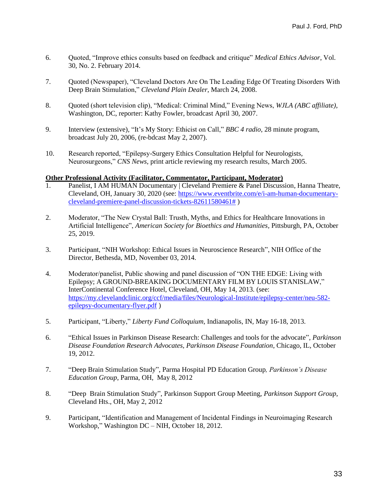- 6. Quoted, "Improve ethics consults based on feedback and critique" *Medical Ethics Advisor*, Vol. 30, No. 2. February 2014.
- 7. Quoted (Newspaper), "Cleveland Doctors Are On The Leading Edge Of Treating Disorders With Deep Brain Stimulation," *Cleveland Plain Dealer*, March 24, 2008.
- 8. Quoted (short television clip), "Medical: Criminal Mind," Evening News, *WJLA (ABC affiliate)*, Washington, DC, reporter: Kathy Fowler, broadcast April 30, 2007.
- 9. Interview (extensive), "It's My Story: Ethicist on Call," *BBC 4 radio*, 28 minute program, broadcast July 20, 2006, (re-bdcast May 2, 2007).
- 10. Research reported, "Epilepsy-Surgery Ethics Consultation Helpful for Neurologists, Neurosurgeons," *CNS News*, print article reviewing my research results, March 2005.

#### **Other Professional Activity (Facilitator, Commentator, Participant, Moderator)**

- Panelist, I AM HUMAN Documentary | Cleveland Premiere & Panel Discussion, Hanna Theatre, Cleveland, OH, January 30, 2020 (see: [https://www.eventbrite.com/e/i-am-human-documentary](https://www.eventbrite.com/e/i-am-human-documentary-cleveland-premiere-panel-discussion-tickets-82611580461)[cleveland-premiere-panel-discussion-tickets-82611580461#](https://www.eventbrite.com/e/i-am-human-documentary-cleveland-premiere-panel-discussion-tickets-82611580461) )
- 2. Moderator, "The New Crystal Ball: Trusth, Myths, and Ethics for Healthcare Innovations in Artificial Intelligence", *American Society for Bioethics and Humanities,* Pittsburgh, PA, October 25, 2019.
- 3. Participant, "NIH Workshop: Ethical Issues in Neuroscience Research", NIH Office of the Director, Bethesda, MD, November 03, 2014.
- 4. Moderator/panelist, Public showing and panel discussion of "ON THE EDGE: Living with Epilepsy; A GROUND-BREAKING DOCUMENTARY FILM BY LOUIS STANISLAW," InterContinental Conference Hotel, Cleveland, OH, May 14, 2013. (see: [https://my.clevelandclinic.org/ccf/media/files/Neurological-Institute/epilepsy-center/neu-582](https://my.clevelandclinic.org/ccf/media/files/Neurological-Institute/epilepsy-center/neu-582-epilepsy-documentary-flyer.pdf) [epilepsy-documentary-flyer.pdf](https://my.clevelandclinic.org/ccf/media/files/Neurological-Institute/epilepsy-center/neu-582-epilepsy-documentary-flyer.pdf) )
- 5. Participant, "Liberty," *Liberty Fund Colloquium,* Indianapolis, IN, May 16-18, 2013.
- 6. "Ethical Issues in Parkinson Disease Research: Challenges and tools for the advocate", *Parkinson Disease Foundation Research Advocates, Parkinson Disease Foundation*, Chicago, IL, October 19, 2012.
- 7. "Deep Brain Stimulation Study", Parma Hospital PD Education Group*, Parkinson's Disease Education Group*, Parma, OH, May 8, 2012
- 8. "Deep Brain Stimulation Study", Parkinson Support Group Meeting, *Parkinson Support Group*, Cleveland Hts., OH, May 2, 2012
- 9. Participant, "Identification and Management of Incidental Findings in Neuroimaging Research Workshop," Washington DC – NIH, October 18, 2012.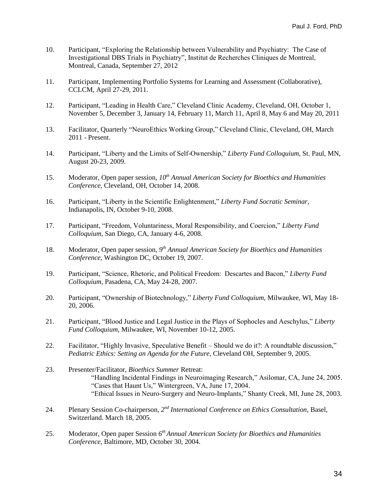- 10. Participant, "Exploring the Relationship between Vulnerability and Psychiatry: The Case of Investigational DBS Trials in Psychiatry", Institut de Recherches Cliniques de Montreal, Montreal, Canada, September 27, 2012
- 11. Participant, Implementing Portfolio Systems for Learning and Assessment (Collaborative), CCLCM, April 27-29, 2011.
- 12. Participant, "Leading in Health Care," Cleveland Clinic Academy, Cleveland, OH, October 1, November 5, December 3, January 14, February 11, March 11, April 8, May 6 and May 20, 2011
- 13. Facilitator, Quarterly "NeuroEthics Working Group," Cleveland Clinic, Cleveland, OH, March 2011 - Present.
- 14. Participant, "Liberty and the Limits of Self-Ownership," *Liberty Fund Colloquium,* St. Paul, MN, August 20-23, 2009.
- 15. Moderator, Open paper session, *10th Annual American Society for Bioethics and Humanities Conference,* Cleveland, OH, October 14, 2008.
- 16. Participant, "Liberty in the Scientific Enlightenment," *Liberty Fund Socratic Seminar*, Indianapolis, IN, October 9-10, 2008.
- 17. Participant, "Freedom, Voluntariness, Moral Responsibility, and Coercion," *Liberty Fund Colloquium*, San Diego, CA, January 4-6, 2008.
- 18. Moderator, Open paper session, 9<sup>th</sup> Annual American Society for Bioethics and Humanities *Conference,* Washington DC, October 19, 2007.
- 19. Participant, "Science, Rhetoric, and Political Freedom: Descartes and Bacon," *Liberty Fund Colloquium,* Pasadena, CA, May 24-28, 2007.
- 20. Participant, "Ownership of Biotechnology," *Liberty Fund Colloquium*, Milwaukee, WI, May 18- 20, 2006.
- 21. Participant, "Blood Justice and Legal Justice in the Plays of Sophocles and Aeschylus," *Liberty Fund Colloquium*, Milwaukee, WI, November 10-12, 2005.
- 22. Facilitator, "Highly Invasive, Speculative Benefit Should we do it?: A roundtable discussion," *Pediatric Ethics: Setting an Agenda for the Future*, Cleveland OH, September 9, 2005.
- 23. Presenter/Facilitator, *Bioethics Summer* Retreat: "Handling Incidental Findings in Neuroimaging Research," Asilomar, CA, June 24, 2005. "Cases that Haunt Us," Wintergreen, VA, June 17, 2004. "Ethical Issues in Neuro-Surgery and Neuro-Implants," Shanty Creek, MI, June 28, 2003.
- 24. Plenary Session Co-chairperson, 2<sup>nd</sup> International Conference on Ethics Consultation, Basel, Switzerland. March 18, 2005.
- 25. Moderator, Open paper Session *6 th Annual American Society for Bioethics and Humanities Conference*, Baltimore, MD, October 30, 2004.